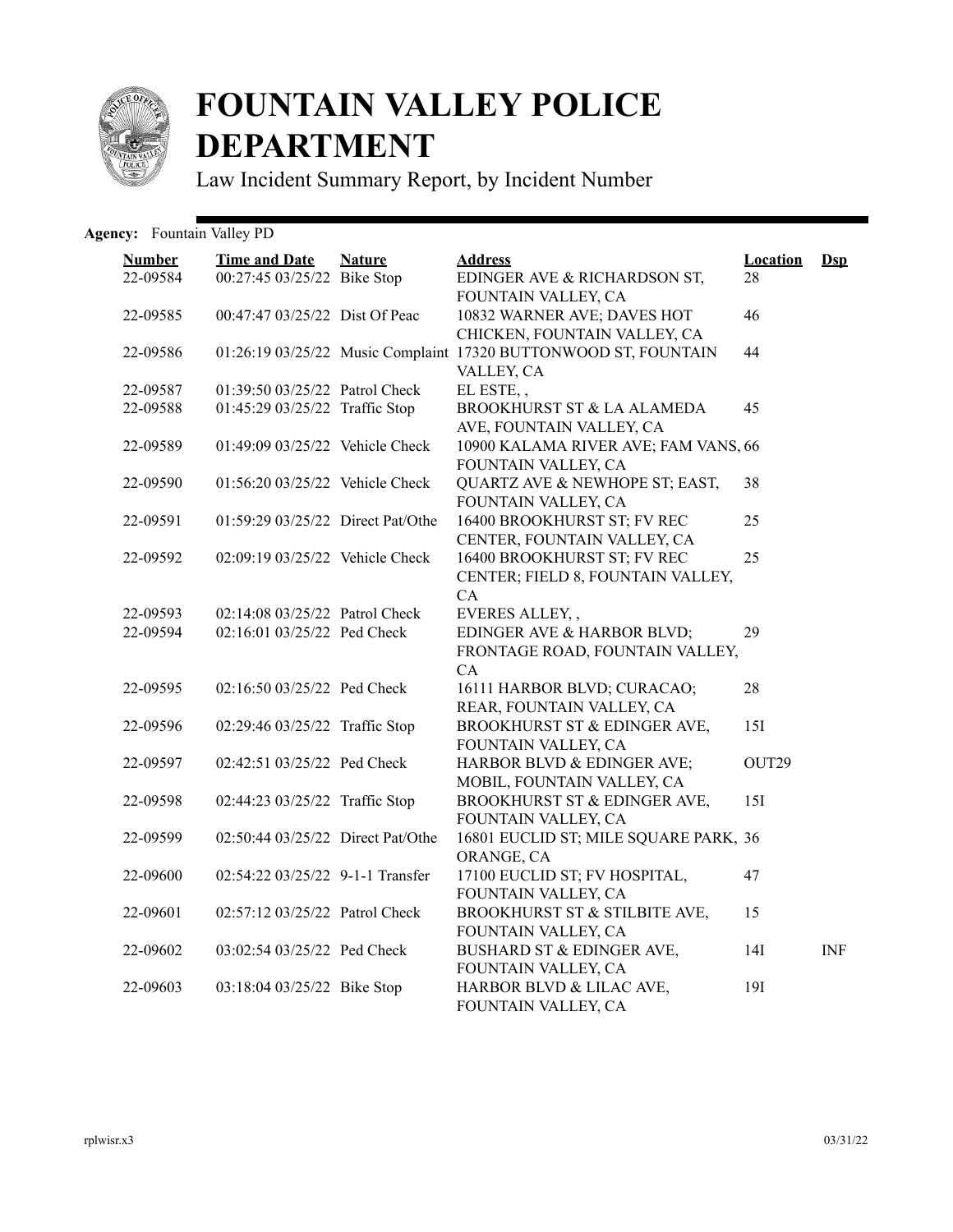

## **FOUNTAIN VALLEY POLICE DEPARTMENT**

Law Incident Summary Report, by Incident Number

## Agency: Fountain Valley PD

| <b>Number</b> | <b>Time and Date</b>              | <b>Nature</b> | <b>Address</b>                                                  | <b>Location</b> | $Dsp$      |
|---------------|-----------------------------------|---------------|-----------------------------------------------------------------|-----------------|------------|
| 22-09584      | 00:27:45 03/25/22 Bike Stop       |               | EDINGER AVE & RICHARDSON ST,<br>FOUNTAIN VALLEY, CA             | 28              |            |
| 22-09585      | 00:47:47 03/25/22 Dist Of Peac    |               | 10832 WARNER AVE; DAVES HOT                                     | 46              |            |
|               |                                   |               | CHICKEN, FOUNTAIN VALLEY, CA                                    |                 |            |
| 22-09586      |                                   |               | 01:26:19 03/25/22 Music Complaint 17320 BUTTONWOOD ST, FOUNTAIN | 44              |            |
| 22-09587      | 01:39:50 03/25/22 Patrol Check    |               | VALLEY, CA<br>EL ESTE,,                                         |                 |            |
| 22-09588      | 01:45:29 03/25/22 Traffic Stop    |               | BROOKHURST ST & LA ALAMEDA                                      | 45              |            |
|               |                                   |               | AVE, FOUNTAIN VALLEY, CA                                        |                 |            |
| 22-09589      | 01:49:09 03/25/22 Vehicle Check   |               | 10900 KALAMA RIVER AVE; FAM VANS, 66                            |                 |            |
|               |                                   |               | FOUNTAIN VALLEY, CA                                             |                 |            |
| 22-09590      | 01:56:20 03/25/22 Vehicle Check   |               | QUARTZ AVE & NEWHOPE ST; EAST,                                  | 38              |            |
| 22-09591      | 01:59:29 03/25/22 Direct Pat/Othe |               | FOUNTAIN VALLEY, CA<br>16400 BROOKHURST ST; FV REC              | 25              |            |
|               |                                   |               | CENTER, FOUNTAIN VALLEY, CA                                     |                 |            |
| 22-09592      | 02:09:19 03/25/22 Vehicle Check   |               | 16400 BROOKHURST ST; FV REC                                     | 25              |            |
|               |                                   |               | CENTER; FIELD 8, FOUNTAIN VALLEY,                               |                 |            |
|               |                                   |               | CA                                                              |                 |            |
| 22-09593      | 02:14:08 03/25/22 Patrol Check    |               | EVERES ALLEY,,                                                  |                 |            |
| 22-09594      | 02:16:01 03/25/22 Ped Check       |               | EDINGER AVE & HARBOR BLVD;                                      | 29              |            |
|               |                                   |               | FRONTAGE ROAD, FOUNTAIN VALLEY,                                 |                 |            |
|               |                                   |               | CA.                                                             |                 |            |
| 22-09595      | 02:16:50 03/25/22 Ped Check       |               | 16111 HARBOR BLVD; CURACAO;                                     | 28              |            |
|               |                                   |               | REAR, FOUNTAIN VALLEY, CA                                       |                 |            |
| 22-09596      | 02:29:46 03/25/22 Traffic Stop    |               | BROOKHURST ST & EDINGER AVE,                                    | 15I             |            |
|               | 02:42:51 03/25/22 Ped Check       |               | FOUNTAIN VALLEY, CA                                             |                 |            |
| 22-09597      |                                   |               | HARBOR BLVD & EDINGER AVE;<br>MOBIL, FOUNTAIN VALLEY, CA        | OUT29           |            |
| 22-09598      | 02:44:23 03/25/22 Traffic Stop    |               | BROOKHURST ST & EDINGER AVE,                                    | 15I             |            |
|               |                                   |               | FOUNTAIN VALLEY, CA                                             |                 |            |
| 22-09599      | 02:50:44 03/25/22 Direct Pat/Othe |               | 16801 EUCLID ST; MILE SQUARE PARK, 36                           |                 |            |
|               |                                   |               | ORANGE, CA                                                      |                 |            |
| 22-09600      | 02:54:22 03/25/22 9-1-1 Transfer  |               | 17100 EUCLID ST; FV HOSPITAL,                                   | 47              |            |
|               |                                   |               | FOUNTAIN VALLEY, CA                                             |                 |            |
| 22-09601      | 02:57:12 03/25/22 Patrol Check    |               | BROOKHURST ST & STILBITE AVE,                                   | 15              |            |
|               |                                   |               | FOUNTAIN VALLEY, CA                                             |                 |            |
| 22-09602      | 03:02:54 03/25/22 Ped Check       |               | BUSHARD ST & EDINGER AVE,                                       | 14I             | <b>INF</b> |
| 22-09603      | 03:18:04 03/25/22 Bike Stop       |               | FOUNTAIN VALLEY, CA<br>HARBOR BLVD & LILAC AVE,                 | 19I             |            |
|               |                                   |               | FOUNTAIN VALLEY, CA                                             |                 |            |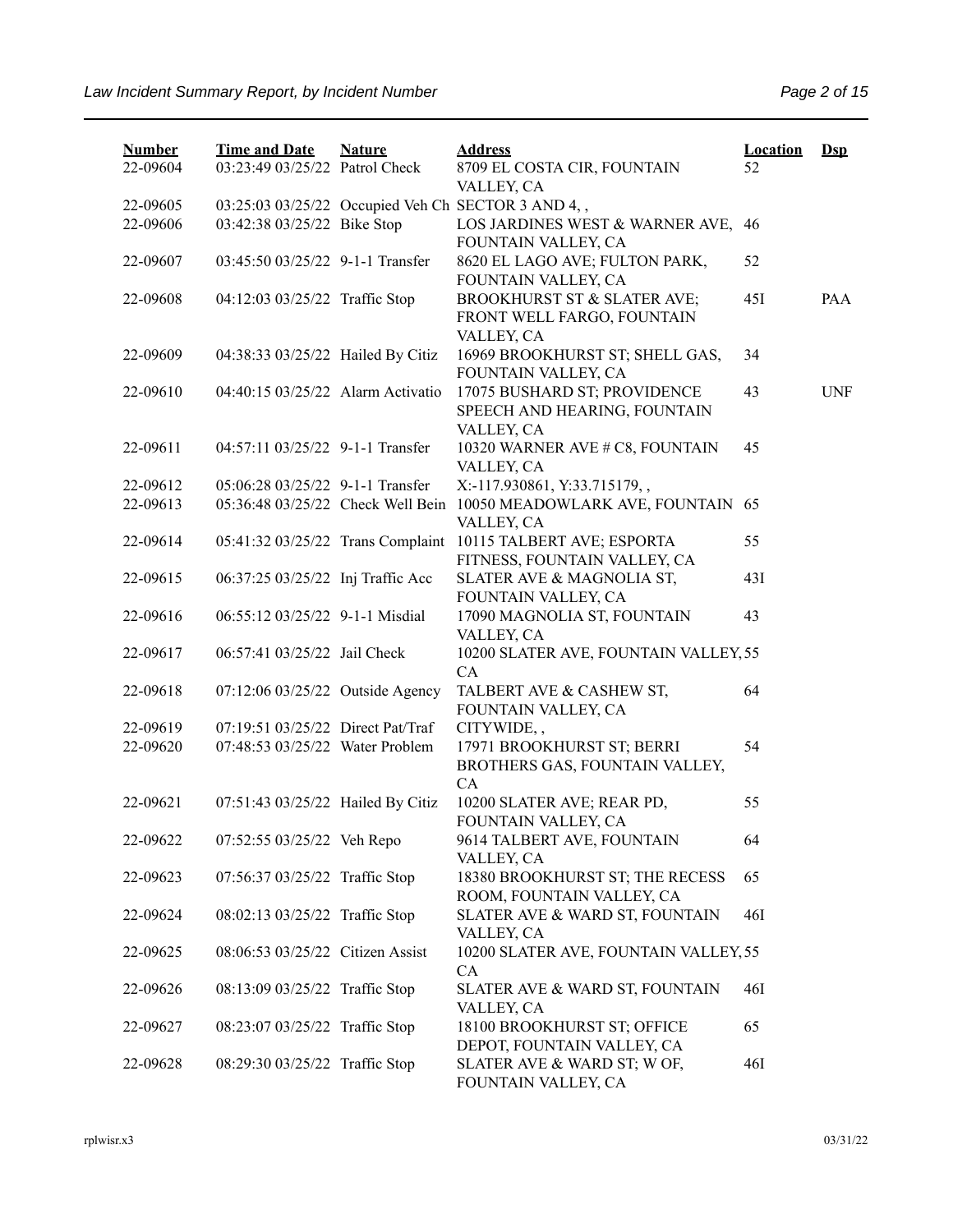| <b>Number</b><br>22-09604 | <b>Time and Date</b><br>03:23:49 03/25/22 Patrol Check | <b>Nature</b> | <b>Address</b><br>8709 EL COSTA CIR, FOUNTAIN                                      | <b>Location</b><br>52 | $\mathbf{Dsp}$ |
|---------------------------|--------------------------------------------------------|---------------|------------------------------------------------------------------------------------|-----------------------|----------------|
|                           |                                                        |               | VALLEY, CA                                                                         |                       |                |
| 22-09605                  |                                                        |               | 03:25:03 03/25/22 Occupied Veh Ch SECTOR 3 AND 4,,                                 |                       |                |
| 22-09606                  | 03:42:38 03/25/22 Bike Stop                            |               | LOS JARDINES WEST & WARNER AVE, 46<br>FOUNTAIN VALLEY, CA                          |                       |                |
| 22-09607                  | 03:45:50 03/25/22 9-1-1 Transfer                       |               | 8620 EL LAGO AVE; FULTON PARK,<br>FOUNTAIN VALLEY, CA                              | 52                    |                |
| 22-09608                  | 04:12:03 03/25/22 Traffic Stop                         |               | <b>BROOKHURST ST &amp; SLATER AVE;</b><br>FRONT WELL FARGO, FOUNTAIN<br>VALLEY, CA | 45I                   | PAA            |
| 22-09609                  | 04:38:33 03/25/22 Hailed By Citiz                      |               | 16969 BROOKHURST ST; SHELL GAS,<br>FOUNTAIN VALLEY, CA                             | 34                    |                |
| 22-09610                  | 04:40:15 03/25/22 Alarm Activatio                      |               | 17075 BUSHARD ST; PROVIDENCE<br>SPEECH AND HEARING, FOUNTAIN<br>VALLEY, CA         | 43                    | <b>UNF</b>     |
| 22-09611                  | 04:57:11 03/25/22 9-1-1 Transfer                       |               | 10320 WARNER AVE # C8, FOUNTAIN<br>VALLEY, CA                                      | 45                    |                |
| 22-09612                  | 05:06:28 03/25/22 9-1-1 Transfer                       |               | X:-117.930861, Y:33.715179,,                                                       |                       |                |
| 22-09613                  | 05:36:48 03/25/22 Check Well Bein                      |               | 10050 MEADOWLARK AVE, FOUNTAIN 65<br>VALLEY, CA                                    |                       |                |
| 22-09614                  | 05:41:32 03/25/22 Trans Complaint                      |               | 10115 TALBERT AVE; ESPORTA<br>FITNESS, FOUNTAIN VALLEY, CA                         | 55                    |                |
| 22-09615                  | 06:37:25 03/25/22 Inj Traffic Acc                      |               | SLATER AVE & MAGNOLIA ST,<br>FOUNTAIN VALLEY, CA                                   | 43I                   |                |
| 22-09616                  | 06:55:12 03/25/22 9-1-1 Misdial                        |               | 17090 MAGNOLIA ST, FOUNTAIN<br>VALLEY, CA                                          | 43                    |                |
| 22-09617                  | 06:57:41 03/25/22 Jail Check                           |               | 10200 SLATER AVE, FOUNTAIN VALLEY, 55<br><b>CA</b>                                 |                       |                |
| 22-09618                  | 07:12:06 03/25/22 Outside Agency                       |               | TALBERT AVE & CASHEW ST,<br>FOUNTAIN VALLEY, CA                                    | 64                    |                |
| 22-09619                  | 07:19:51 03/25/22 Direct Pat/Traf                      |               | CITYWIDE,,                                                                         |                       |                |
| 22-09620                  | 07:48:53 03/25/22 Water Problem                        |               | 17971 BROOKHURST ST; BERRI<br>BROTHERS GAS, FOUNTAIN VALLEY,<br>CA                 | 54                    |                |
| 22-09621                  | 07:51:43 03/25/22 Hailed By Citiz                      |               | 10200 SLATER AVE; REAR PD,<br>FOUNTAIN VALLEY, CA                                  | 55                    |                |
| 22-09622                  | 07:52:55 03/25/22 Veh Repo                             |               | 9614 TALBERT AVE, FOUNTAIN<br>VALLEY, CA                                           | 64                    |                |
| 22-09623                  | 07:56:37 03/25/22 Traffic Stop                         |               | 18380 BROOKHURST ST; THE RECESS<br>ROOM, FOUNTAIN VALLEY, CA                       | 65                    |                |
| 22-09624                  | 08:02:13 03/25/22 Traffic Stop                         |               | SLATER AVE & WARD ST, FOUNTAIN<br>VALLEY, CA                                       | 46I                   |                |
| 22-09625                  | 08:06:53 03/25/22 Citizen Assist                       |               | 10200 SLATER AVE, FOUNTAIN VALLEY, 55<br>CA                                        |                       |                |
| 22-09626                  | 08:13:09 03/25/22 Traffic Stop                         |               | SLATER AVE & WARD ST, FOUNTAIN<br>VALLEY, CA                                       | 46I                   |                |
| 22-09627                  | 08:23:07 03/25/22 Traffic Stop                         |               | 18100 BROOKHURST ST; OFFICE<br>DEPOT, FOUNTAIN VALLEY, CA                          | 65                    |                |
| 22-09628                  | 08:29:30 03/25/22 Traffic Stop                         |               | SLATER AVE & WARD ST; W OF,<br>FOUNTAIN VALLEY, CA                                 | <b>46I</b>            |                |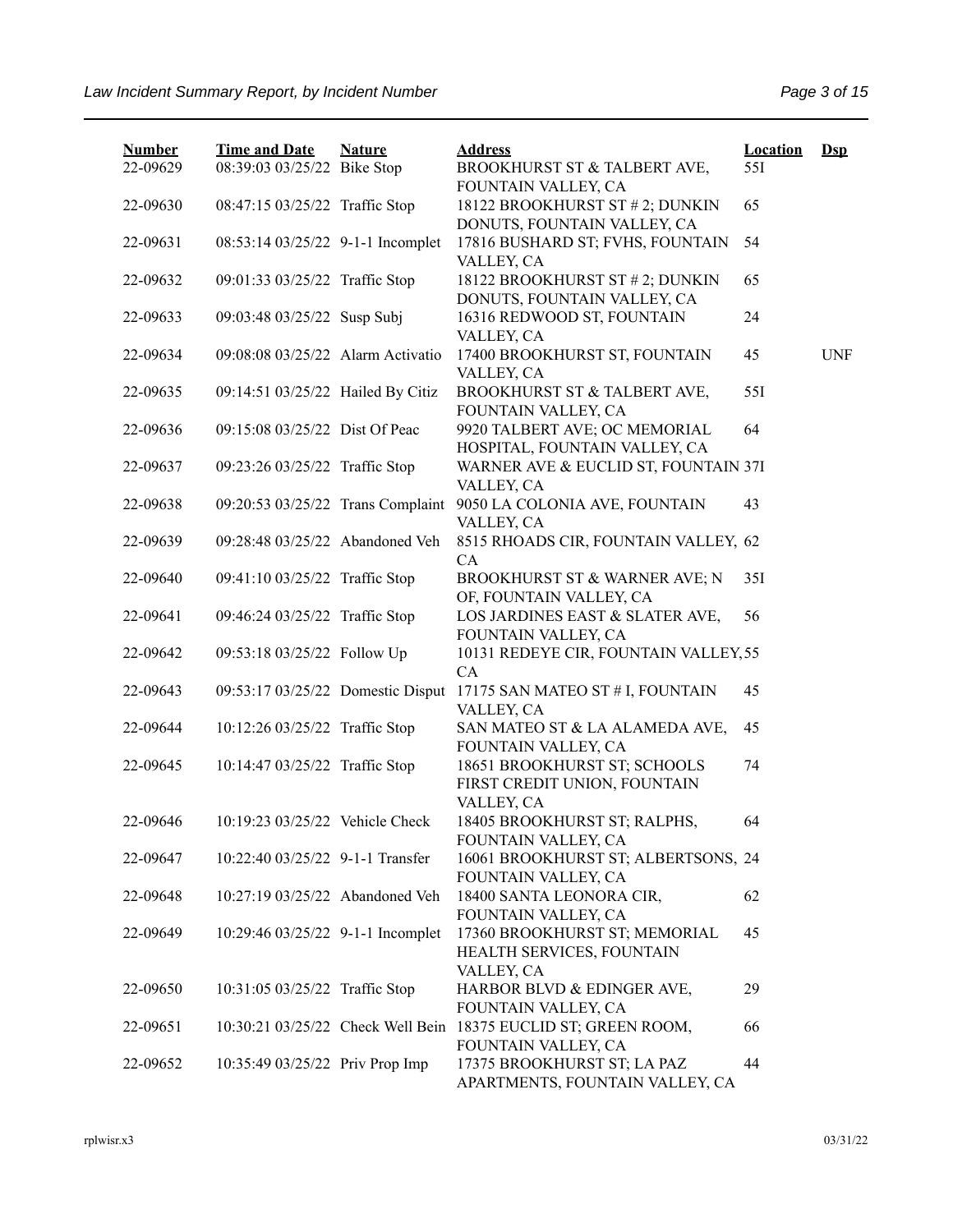| <b>Number</b><br>22-09629 | <b>Time and Date</b><br>08:39:03 03/25/22 Bike Stop | <b>Nature</b> | <b>Address</b><br>BROOKHURST ST & TALBERT AVE,                             | <b>Location</b><br>55I | $Dep$      |
|---------------------------|-----------------------------------------------------|---------------|----------------------------------------------------------------------------|------------------------|------------|
|                           |                                                     |               | FOUNTAIN VALLEY, CA                                                        |                        |            |
| 22-09630                  | 08:47:15 03/25/22 Traffic Stop                      |               | 18122 BROOKHURST ST # 2; DUNKIN<br>DONUTS, FOUNTAIN VALLEY, CA             | 65                     |            |
| 22-09631                  | 08:53:14 03/25/22 9-1-1 Incomplet                   |               | 17816 BUSHARD ST; FVHS, FOUNTAIN<br>VALLEY, CA                             | 54                     |            |
| 22-09632                  | 09:01:33 03/25/22 Traffic Stop                      |               | 18122 BROOKHURST ST # 2; DUNKIN                                            | 65                     |            |
| 22-09633                  | 09:03:48 03/25/22 Susp Subj                         |               | DONUTS, FOUNTAIN VALLEY, CA<br>16316 REDWOOD ST, FOUNTAIN                  | 24                     |            |
| 22-09634                  | 09:08:08 03/25/22 Alarm Activatio                   |               | VALLEY, CA<br>17400 BROOKHURST ST, FOUNTAIN                                | 45                     | <b>UNF</b> |
| 22-09635                  | 09:14:51 03/25/22 Hailed By Citiz                   |               | VALLEY, CA<br>BROOKHURST ST & TALBERT AVE,<br>FOUNTAIN VALLEY, CA          | 551                    |            |
| 22-09636                  | 09:15:08 03/25/22 Dist Of Peac                      |               | 9920 TALBERT AVE; OC MEMORIAL<br>HOSPITAL, FOUNTAIN VALLEY, CA             | 64                     |            |
| 22-09637                  | 09:23:26 03/25/22 Traffic Stop                      |               | WARNER AVE & EUCLID ST, FOUNTAIN 37I<br>VALLEY, CA                         |                        |            |
| 22-09638                  | 09:20:53 03/25/22 Trans Complaint                   |               | 9050 LA COLONIA AVE, FOUNTAIN<br>VALLEY, CA                                | 43                     |            |
| 22-09639                  | 09:28:48 03/25/22 Abandoned Veh                     |               | 8515 RHOADS CIR, FOUNTAIN VALLEY, 62<br>CA                                 |                        |            |
| 22-09640                  | 09:41:10 03/25/22 Traffic Stop                      |               | BROOKHURST ST & WARNER AVE; N<br>OF, FOUNTAIN VALLEY, CA                   | 35I                    |            |
| 22-09641                  | 09:46:24 03/25/22 Traffic Stop                      |               | LOS JARDINES EAST & SLATER AVE,<br>FOUNTAIN VALLEY, CA                     | 56                     |            |
| 22-09642                  | 09:53:18 03/25/22 Follow Up                         |               | 10131 REDEYE CIR, FOUNTAIN VALLEY, 55<br>CA                                |                        |            |
| 22-09643                  | 09:53:17 03/25/22 Domestic Disput                   |               | 17175 SAN MATEO ST # I, FOUNTAIN<br>VALLEY, CA                             | 45                     |            |
| 22-09644                  | 10:12:26 03/25/22 Traffic Stop                      |               | SAN MATEO ST & LA ALAMEDA AVE,<br>FOUNTAIN VALLEY, CA                      | 45                     |            |
| 22-09645                  | 10:14:47 03/25/22 Traffic Stop                      |               | 18651 BROOKHURST ST; SCHOOLS<br>FIRST CREDIT UNION, FOUNTAIN<br>VALLEY, CA | 74                     |            |
| 22-09646                  | 10:19:23 03/25/22 Vehicle Check                     |               | 18405 BROOKHURST ST; RALPHS,<br>FOUNTAIN VALLEY, CA                        | 64                     |            |
| 22-09647                  | 10:22:40 03/25/22 9-1-1 Transfer                    |               | 16061 BROOKHURST ST; ALBERTSONS, 24<br>FOUNTAIN VALLEY, CA                 |                        |            |
| 22-09648                  | 10:27:19 03/25/22 Abandoned Veh                     |               | 18400 SANTA LEONORA CIR,<br>FOUNTAIN VALLEY, CA                            | 62                     |            |
| 22-09649                  | 10:29:46 03/25/22 9-1-1 Incomplet                   |               | 17360 BROOKHURST ST; MEMORIAL<br>HEALTH SERVICES, FOUNTAIN<br>VALLEY, CA   | 45                     |            |
| 22-09650                  | 10:31:05 03/25/22 Traffic Stop                      |               | HARBOR BLVD & EDINGER AVE,<br>FOUNTAIN VALLEY, CA                          | 29                     |            |
| 22-09651                  | 10:30:21 03/25/22 Check Well Bein                   |               | 18375 EUCLID ST; GREEN ROOM,<br>FOUNTAIN VALLEY, CA                        | 66                     |            |
| 22-09652                  | 10:35:49 03/25/22 Priv Prop Imp                     |               | 17375 BROOKHURST ST; LA PAZ<br>APARTMENTS, FOUNTAIN VALLEY, CA             | 44                     |            |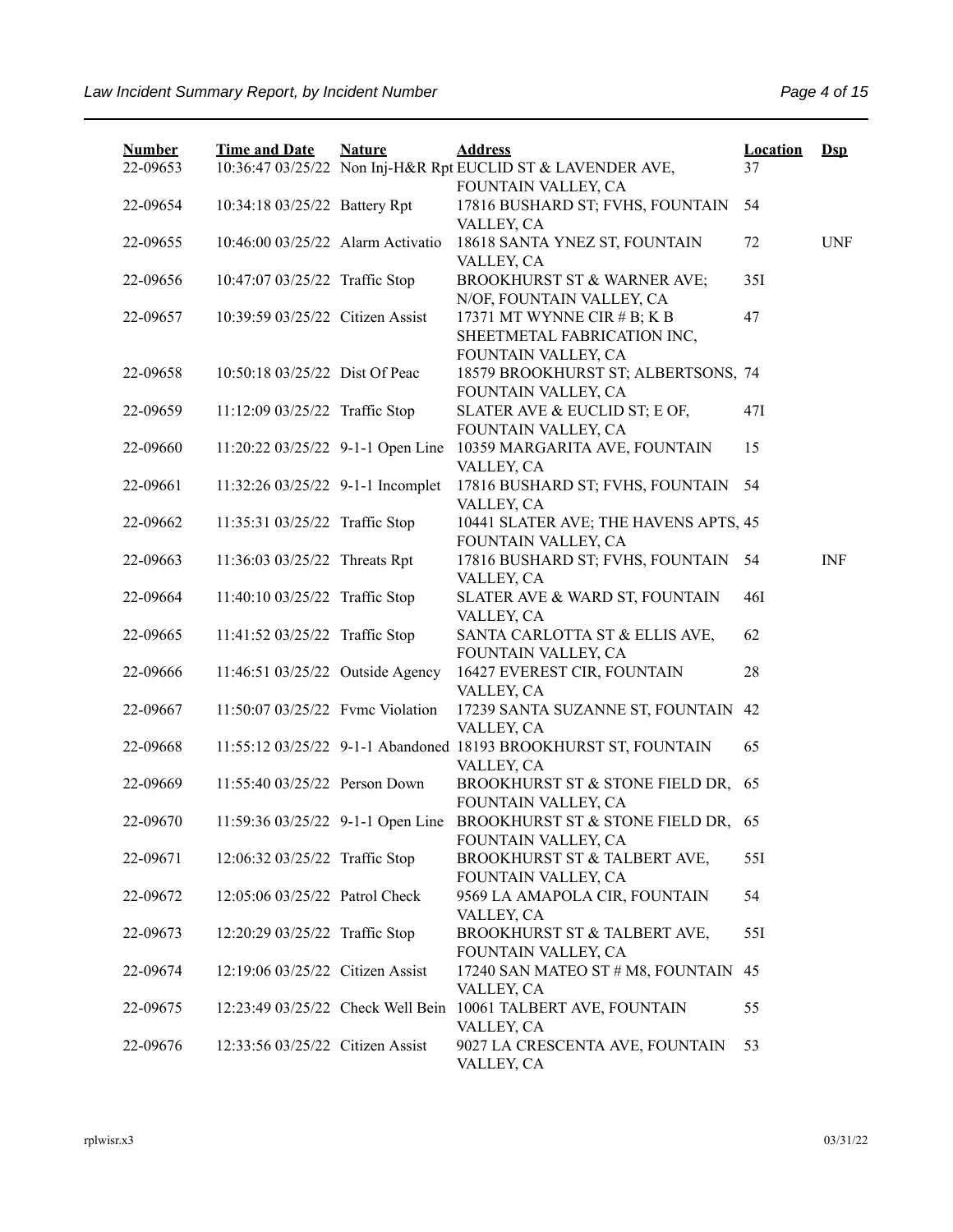| <b>Number</b> | <b>Time and Date</b>              | <b>Nature</b> | <b>Address</b>                                                                              | <b>Location</b> | $\mathbf{Dsp}$ |
|---------------|-----------------------------------|---------------|---------------------------------------------------------------------------------------------|-----------------|----------------|
| 22-09653      |                                   |               | 10:36:47 03/25/22 Non Inj-H&R Rpt EUCLID ST & LAVENDER AVE,                                 | 37              |                |
| 22-09654      | 10:34:18 03/25/22 Battery Rpt     |               | FOUNTAIN VALLEY, CA<br>17816 BUSHARD ST; FVHS, FOUNTAIN<br>VALLEY, CA                       | 54              |                |
| 22-09655      | 10:46:00 03/25/22 Alarm Activatio |               | 18618 SANTA YNEZ ST, FOUNTAIN<br>VALLEY, CA                                                 | 72              | <b>UNF</b>     |
| 22-09656      | 10:47:07 03/25/22 Traffic Stop    |               | BROOKHURST ST & WARNER AVE;<br>N/OF, FOUNTAIN VALLEY, CA                                    | 35I             |                |
| 22-09657      | 10:39:59 03/25/22 Citizen Assist  |               | 17371 MT WYNNE CIR $# B$ ; K B<br>SHEETMETAL FABRICATION INC,<br>FOUNTAIN VALLEY, CA        | 47              |                |
| 22-09658      | 10:50:18 03/25/22 Dist Of Peac    |               | 18579 BROOKHURST ST; ALBERTSONS, 74<br>FOUNTAIN VALLEY, CA                                  |                 |                |
| 22-09659      | 11:12:09 03/25/22 Traffic Stop    |               | SLATER AVE & EUCLID ST; E OF,<br>FOUNTAIN VALLEY, CA                                        | 47I             |                |
| 22-09660      | 11:20:22 03/25/22 9-1-1 Open Line |               | 10359 MARGARITA AVE, FOUNTAIN<br>VALLEY, CA                                                 | 15              |                |
| 22-09661      | 11:32:26 03/25/22 9-1-1 Incomplet |               | 17816 BUSHARD ST; FVHS, FOUNTAIN<br>VALLEY, CA                                              | 54              |                |
| 22-09662      | 11:35:31 03/25/22 Traffic Stop    |               | 10441 SLATER AVE; THE HAVENS APTS, 45<br>FOUNTAIN VALLEY, CA                                |                 |                |
| 22-09663      | 11:36:03 03/25/22 Threats Rpt     |               | 17816 BUSHARD ST; FVHS, FOUNTAIN<br>VALLEY, CA                                              | 54              | <b>INF</b>     |
| 22-09664      | 11:40:10 03/25/22 Traffic Stop    |               | SLATER AVE & WARD ST, FOUNTAIN<br>VALLEY, CA                                                | 46I             |                |
| 22-09665      | 11:41:52 03/25/22 Traffic Stop    |               | SANTA CARLOTTA ST & ELLIS AVE,<br>FOUNTAIN VALLEY, CA                                       | 62              |                |
| 22-09666      | 11:46:51 03/25/22 Outside Agency  |               | 16427 EVEREST CIR, FOUNTAIN<br>VALLEY, CA                                                   | 28              |                |
| 22-09667      | 11:50:07 03/25/22 Fyme Violation  |               | 17239 SANTA SUZANNE ST, FOUNTAIN<br>VALLEY, CA                                              | 42              |                |
| 22-09668      |                                   |               | 11:55:12 03/25/22 9-1-1 Abandoned 18193 BROOKHURST ST, FOUNTAIN<br>VALLEY, CA               | 65              |                |
| 22-09669      | 11:55:40 03/25/22 Person Down     |               | BROOKHURST ST & STONE FIELD DR, 65<br>FOUNTAIN VALLEY, CA                                   |                 |                |
| 22-09670      |                                   |               | 11:59:36 03/25/22 9-1-1 Open Line BROOKHURST ST & STONE FIELD DR, 65<br>FOUNTAIN VALLEY, CA |                 |                |
| 22-09671      | 12:06:32 03/25/22 Traffic Stop    |               | BROOKHURST ST & TALBERT AVE,<br>FOUNTAIN VALLEY, CA                                         | 55I             |                |
| 22-09672      | 12:05:06 03/25/22 Patrol Check    |               | 9569 LA AMAPOLA CIR, FOUNTAIN<br>VALLEY, CA                                                 | 54              |                |
| 22-09673      | 12:20:29 03/25/22 Traffic Stop    |               | BROOKHURST ST & TALBERT AVE,<br>FOUNTAIN VALLEY, CA                                         | 551             |                |
| 22-09674      | 12:19:06 03/25/22 Citizen Assist  |               | 17240 SAN MATEO ST # M8, FOUNTAIN 45<br>VALLEY, CA                                          |                 |                |
| 22-09675      |                                   |               | 12:23:49 03/25/22 Check Well Bein 10061 TALBERT AVE, FOUNTAIN<br>VALLEY, CA                 | 55              |                |
| 22-09676      | 12:33:56 03/25/22 Citizen Assist  |               | 9027 LA CRESCENTA AVE, FOUNTAIN<br>VALLEY, CA                                               | 53              |                |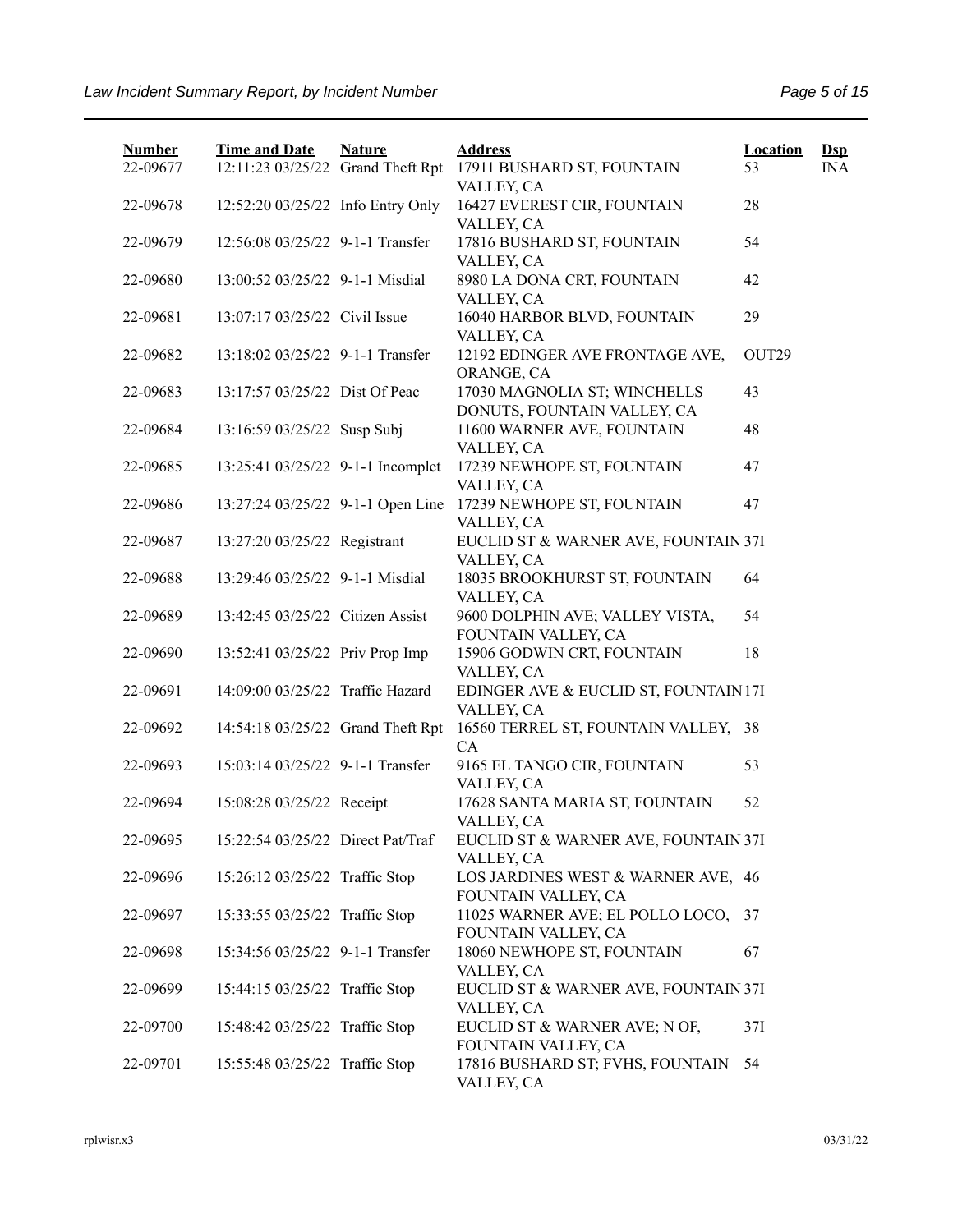| <b>Number</b> | <b>Time and Date</b>              | <b>Nature</b> | <b>Address</b>                                                   | <b>Location</b>   | $\mathbf{Dsp}$ |
|---------------|-----------------------------------|---------------|------------------------------------------------------------------|-------------------|----------------|
| 22-09677      | 12:11:23 03/25/22 Grand Theft Rpt |               | 17911 BUSHARD ST, FOUNTAIN                                       | 53                | <b>INA</b>     |
| 22-09678      | 12:52:20 03/25/22 Info Entry Only |               | VALLEY, CA<br>16427 EVEREST CIR, FOUNTAIN                        | 28                |                |
|               |                                   |               | VALLEY, CA                                                       |                   |                |
| 22-09679      | 12:56:08 03/25/22 9-1-1 Transfer  |               | 17816 BUSHARD ST, FOUNTAIN<br>VALLEY, CA                         | 54                |                |
| 22-09680      | 13:00:52 03/25/22 9-1-1 Misdial   |               | 8980 LA DONA CRT, FOUNTAIN<br>VALLEY, CA                         | 42                |                |
| 22-09681      | 13:07:17 03/25/22 Civil Issue     |               | 16040 HARBOR BLVD, FOUNTAIN                                      | 29                |                |
| 22-09682      | 13:18:02 03/25/22 9-1-1 Transfer  |               | VALLEY, CA<br>12192 EDINGER AVE FRONTAGE AVE,<br>ORANGE, CA      | OUT <sub>29</sub> |                |
| 22-09683      | 13:17:57 03/25/22 Dist Of Peac    |               | 17030 MAGNOLIA ST; WINCHELLS<br>DONUTS, FOUNTAIN VALLEY, CA      | 43                |                |
| 22-09684      | 13:16:59 03/25/22 Susp Subj       |               | 11600 WARNER AVE, FOUNTAIN                                       | 48                |                |
| 22-09685      | 13:25:41 03/25/22 9-1-1 Incomplet |               | VALLEY, CA<br>17239 NEWHOPE ST, FOUNTAIN                         | 47                |                |
|               |                                   |               | VALLEY, CA                                                       |                   |                |
| 22-09686      | 13:27:24 03/25/22 9-1-1 Open Line |               | 17239 NEWHOPE ST, FOUNTAIN<br>VALLEY, CA                         | 47                |                |
| 22-09687      | 13:27:20 03/25/22 Registrant      |               | EUCLID ST & WARNER AVE, FOUNTAIN 37I<br>VALLEY, CA               |                   |                |
| 22-09688      | 13:29:46 03/25/22 9-1-1 Misdial   |               | 18035 BROOKHURST ST, FOUNTAIN                                    | 64                |                |
| 22-09689      | 13:42:45 03/25/22 Citizen Assist  |               | VALLEY, CA<br>9600 DOLPHIN AVE; VALLEY VISTA,                    | 54                |                |
| 22-09690      | 13:52:41 03/25/22 Priv Prop Imp   |               | FOUNTAIN VALLEY, CA<br>15906 GODWIN CRT, FOUNTAIN<br>VALLEY, CA  | 18                |                |
| 22-09691      | 14:09:00 03/25/22 Traffic Hazard  |               | EDINGER AVE & EUCLID ST, FOUNTAIN 17I<br>VALLEY, CA              |                   |                |
| 22-09692      | 14:54:18 03/25/22 Grand Theft Rpt |               | 16560 TERREL ST, FOUNTAIN VALLEY, 38<br>CA                       |                   |                |
| 22-09693      | 15:03:14 03/25/22 9-1-1 Transfer  |               | 9165 EL TANGO CIR, FOUNTAIN<br>VALLEY, CA                        | 53                |                |
| 22-09694      | 15:08:28 03/25/22 Receipt         |               | 17628 SANTA MARIA ST, FOUNTAIN<br>VALLEY, CA                     | 52                |                |
| 22-09695      | 15:22:54 03/25/22 Direct Pat/Traf |               | EUCLID ST & WARNER AVE, FOUNTAIN 37I<br>VALLEY, CA               |                   |                |
| 22-09696      | 15:26:12 03/25/22 Traffic Stop    |               | LOS JARDINES WEST & WARNER AVE, 46                               |                   |                |
| 22-09697      | 15:33:55 03/25/22 Traffic Stop    |               | FOUNTAIN VALLEY, CA<br>11025 WARNER AVE; EL POLLO LOCO, 37       |                   |                |
| 22-09698      | 15:34:56 03/25/22 9-1-1 Transfer  |               | FOUNTAIN VALLEY, CA<br>18060 NEWHOPE ST, FOUNTAIN                | 67                |                |
| 22-09699      | 15:44:15 03/25/22 Traffic Stop    |               | VALLEY, CA<br>EUCLID ST & WARNER AVE, FOUNTAIN 37I<br>VALLEY, CA |                   |                |
| 22-09700      | 15:48:42 03/25/22 Traffic Stop    |               | EUCLID ST & WARNER AVE; N OF,<br>FOUNTAIN VALLEY, CA             | 37I               |                |
| 22-09701      | 15:55:48 03/25/22 Traffic Stop    |               | 17816 BUSHARD ST; FVHS, FOUNTAIN<br>VALLEY, CA                   | 54                |                |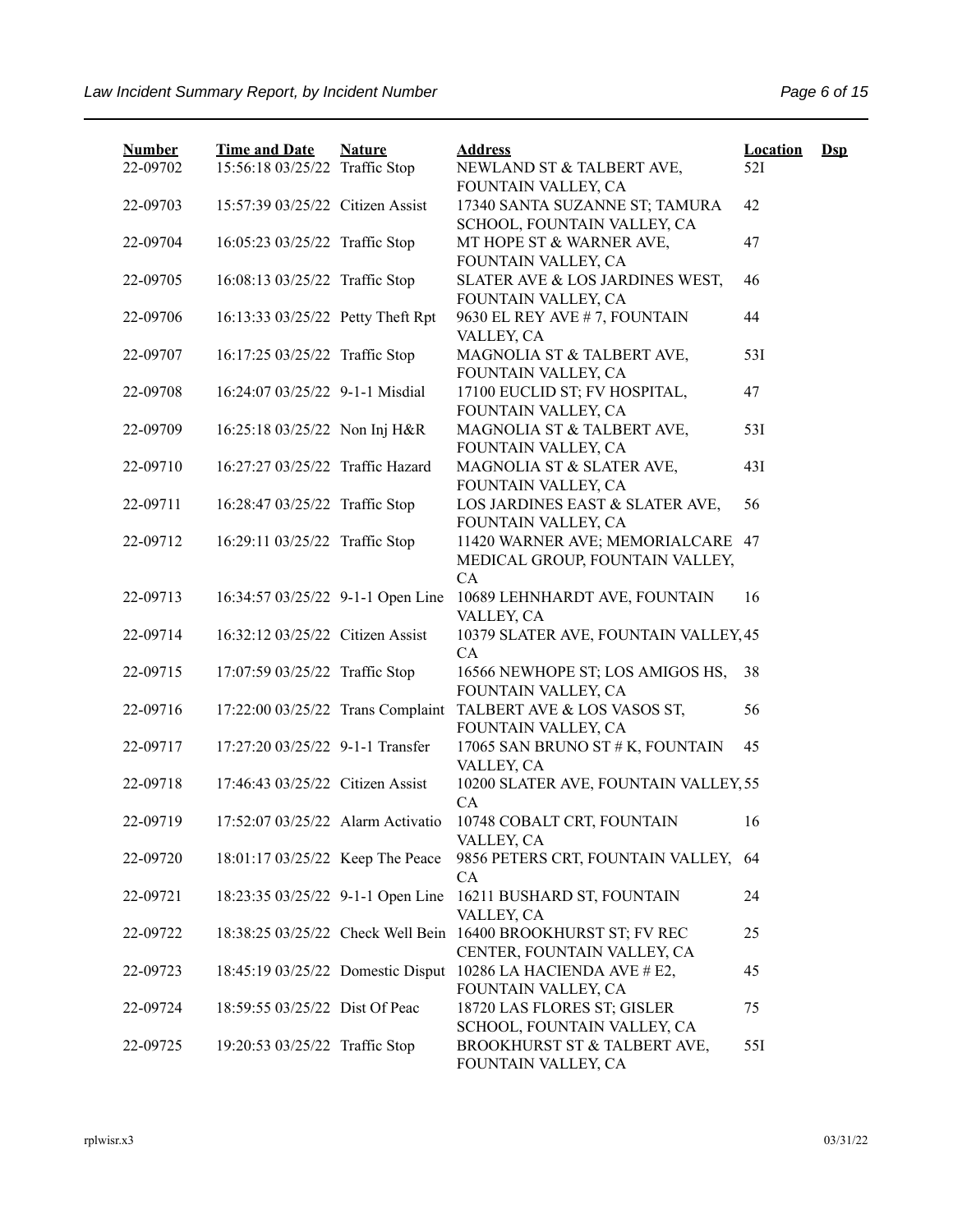| <b>Number</b> | <b>Time and Date</b>              | <b>Nature</b> | <b>Address</b>                                                       | <b>Location</b> | $\mathbf{Dsp}$ |
|---------------|-----------------------------------|---------------|----------------------------------------------------------------------|-----------------|----------------|
| 22-09702      | 15:56:18 03/25/22 Traffic Stop    |               | NEWLAND ST & TALBERT AVE,<br>FOUNTAIN VALLEY, CA                     | 52I             |                |
| 22-09703      | 15:57:39 03/25/22 Citizen Assist  |               | 17340 SANTA SUZANNE ST; TAMURA                                       | 42              |                |
|               |                                   |               | SCHOOL, FOUNTAIN VALLEY, CA                                          |                 |                |
| 22-09704      | 16:05:23 03/25/22 Traffic Stop    |               | MT HOPE ST & WARNER AVE,                                             | 47              |                |
|               |                                   |               | FOUNTAIN VALLEY, CA                                                  |                 |                |
| 22-09705      | 16:08:13 03/25/22 Traffic Stop    |               | SLATER AVE & LOS JARDINES WEST,<br>FOUNTAIN VALLEY, CA               | 46              |                |
| 22-09706      | 16:13:33 03/25/22 Petty Theft Rpt |               | 9630 EL REY AVE # 7, FOUNTAIN                                        | 44              |                |
|               |                                   |               | VALLEY, CA                                                           |                 |                |
| 22-09707      | 16:17:25 03/25/22 Traffic Stop    |               | MAGNOLIA ST & TALBERT AVE,                                           | 53I             |                |
|               |                                   |               | FOUNTAIN VALLEY, CA                                                  |                 |                |
| 22-09708      | 16:24:07 03/25/22 9-1-1 Misdial   |               | 17100 EUCLID ST; FV HOSPITAL,<br>FOUNTAIN VALLEY, CA                 | 47              |                |
| 22-09709      | 16:25:18 03/25/22 Non Inj H&R     |               | MAGNOLIA ST & TALBERT AVE,                                           | 53I             |                |
|               |                                   |               | FOUNTAIN VALLEY, CA                                                  |                 |                |
| 22-09710      | 16:27:27 03/25/22 Traffic Hazard  |               | MAGNOLIA ST & SLATER AVE,                                            | 43I             |                |
|               |                                   |               | FOUNTAIN VALLEY, CA                                                  |                 |                |
| 22-09711      | 16:28:47 03/25/22 Traffic Stop    |               | LOS JARDINES EAST & SLATER AVE,                                      | 56              |                |
|               |                                   |               | FOUNTAIN VALLEY, CA                                                  |                 |                |
| 22-09712      | 16:29:11 03/25/22 Traffic Stop    |               | 11420 WARNER AVE; MEMORIALCARE 47<br>MEDICAL GROUP, FOUNTAIN VALLEY, |                 |                |
|               |                                   |               | CA                                                                   |                 |                |
| 22-09713      | 16:34:57 03/25/22 9-1-1 Open Line |               | 10689 LEHNHARDT AVE, FOUNTAIN                                        | 16              |                |
|               |                                   |               | VALLEY, CA                                                           |                 |                |
| 22-09714      | 16:32:12 03/25/22 Citizen Assist  |               | 10379 SLATER AVE, FOUNTAIN VALLEY, 45                                |                 |                |
|               |                                   |               | <b>CA</b>                                                            |                 |                |
| 22-09715      | 17:07:59 03/25/22 Traffic Stop    |               | 16566 NEWHOPE ST; LOS AMIGOS HS,                                     | 38              |                |
|               |                                   |               | FOUNTAIN VALLEY, CA                                                  |                 |                |
| 22-09716      | 17:22:00 03/25/22 Trans Complaint |               | TALBERT AVE & LOS VASOS ST,<br>FOUNTAIN VALLEY, CA                   | 56              |                |
| 22-09717      | 17:27:20 03/25/22 9-1-1 Transfer  |               | 17065 SAN BRUNO ST # K, FOUNTAIN                                     | 45              |                |
|               |                                   |               | VALLEY, CA                                                           |                 |                |
| 22-09718      | 17:46:43 03/25/22 Citizen Assist  |               | 10200 SLATER AVE, FOUNTAIN VALLEY, 55                                |                 |                |
|               |                                   |               | <b>CA</b>                                                            |                 |                |
| 22-09719      | 17:52:07 03/25/22 Alarm Activatio |               | 10748 COBALT CRT, FOUNTAIN                                           | 16              |                |
|               |                                   |               | VALLEY, CA                                                           |                 |                |
| 22-09720      | 18:01:17 03/25/22 Keep The Peace  |               | 9856 PETERS CRT, FOUNTAIN VALLEY, 64<br>CA                           |                 |                |
| 22-09721      | 18:23:35 03/25/22 9-1-1 Open Line |               | 16211 BUSHARD ST, FOUNTAIN                                           | 24              |                |
|               |                                   |               | VALLEY, CA                                                           |                 |                |
| 22-09722      |                                   |               | 18:38:25 03/25/22 Check Well Bein 16400 BROOKHURST ST; FV REC        | 25              |                |
|               |                                   |               | CENTER, FOUNTAIN VALLEY, CA                                          |                 |                |
| 22-09723      | 18:45:19 03/25/22 Domestic Disput |               | 10286 LA HACIENDA AVE # E2,                                          | 45              |                |
|               |                                   |               | FOUNTAIN VALLEY, CA                                                  |                 |                |
| 22-09724      | 18:59:55 03/25/22 Dist Of Peac    |               | 18720 LAS FLORES ST; GISLER<br>SCHOOL, FOUNTAIN VALLEY, CA           | 75              |                |
| 22-09725      | 19:20:53 03/25/22 Traffic Stop    |               | BROOKHURST ST & TALBERT AVE,                                         | 55I             |                |
|               |                                   |               | FOUNTAIN VALLEY, CA                                                  |                 |                |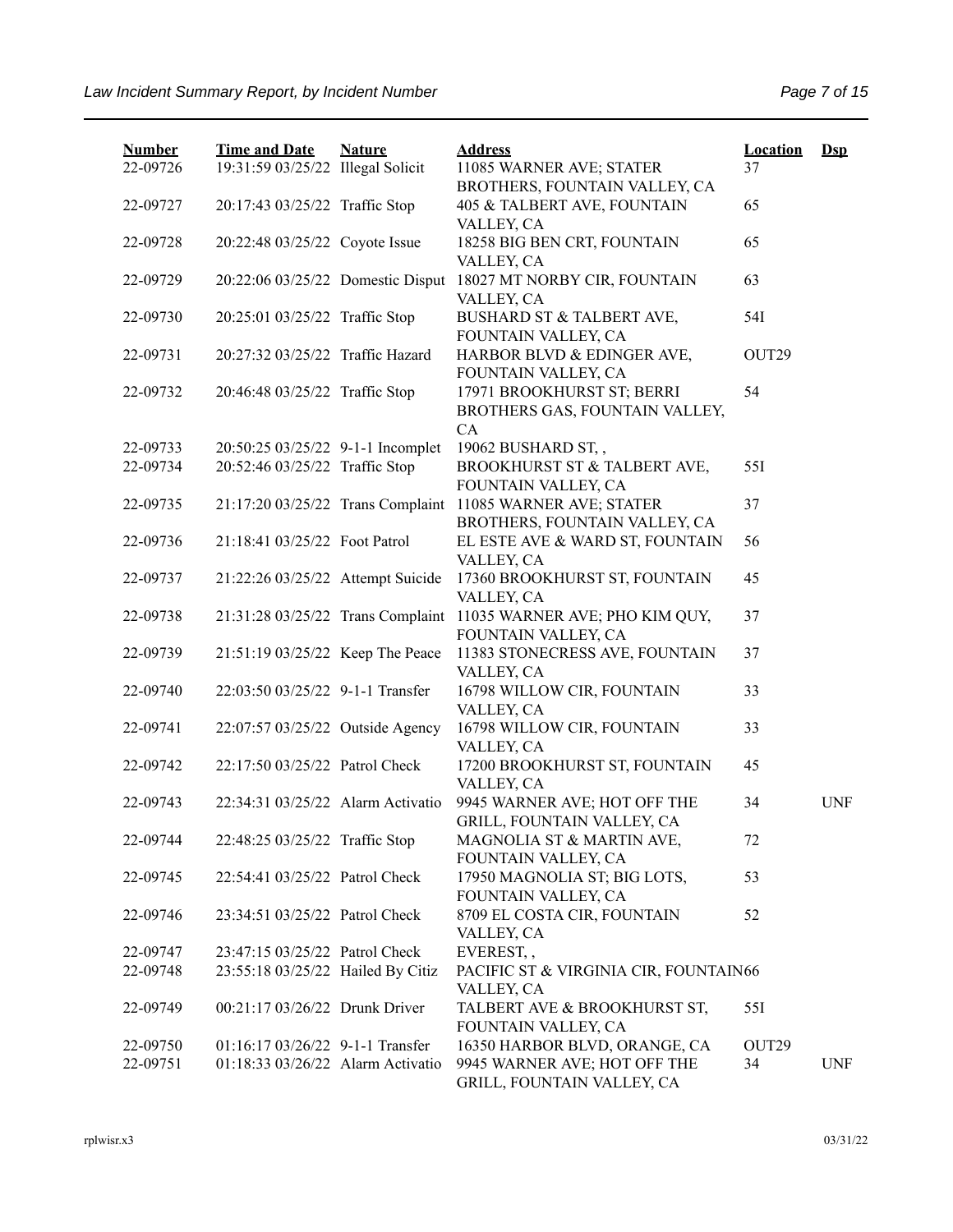| <b>Number</b> | <b>Time and Date</b>              | <b>Nature</b> | <b>Address</b>                                                                            | <b>Location</b> | $Ds$       |
|---------------|-----------------------------------|---------------|-------------------------------------------------------------------------------------------|-----------------|------------|
| 22-09726      | 19:31:59 03/25/22 Illegal Solicit |               | 11085 WARNER AVE; STATER<br>BROTHERS, FOUNTAIN VALLEY, CA                                 | 37              |            |
| 22-09727      | 20:17:43 03/25/22 Traffic Stop    |               | 405 & TALBERT AVE, FOUNTAIN<br>VALLEY, CA                                                 | 65              |            |
| 22-09728      | 20:22:48 03/25/22 Coyote Issue    |               | 18258 BIG BEN CRT, FOUNTAIN<br>VALLEY, CA                                                 | 65              |            |
| 22-09729      | 20:22:06 03/25/22 Domestic Disput |               | 18027 MT NORBY CIR, FOUNTAIN<br>VALLEY, CA                                                | 63              |            |
| 22-09730      | 20:25:01 03/25/22 Traffic Stop    |               | BUSHARD ST & TALBERT AVE,<br>FOUNTAIN VALLEY, CA                                          | 54I             |            |
| 22-09731      | 20:27:32 03/25/22 Traffic Hazard  |               | HARBOR BLVD & EDINGER AVE,                                                                | OUT29           |            |
| 22-09732      | 20:46:48 03/25/22 Traffic Stop    |               | FOUNTAIN VALLEY, CA<br>17971 BROOKHURST ST; BERRI<br>BROTHERS GAS, FOUNTAIN VALLEY,<br>CA | 54              |            |
| 22-09733      | 20:50:25 03/25/22 9-1-1 Incomplet |               | 19062 BUSHARD ST,,                                                                        |                 |            |
| 22-09734      | 20:52:46 03/25/22 Traffic Stop    |               | BROOKHURST ST & TALBERT AVE,<br>FOUNTAIN VALLEY, CA                                       | 55I             |            |
| 22-09735      | 21:17:20 03/25/22 Trans Complaint |               | 11085 WARNER AVE; STATER<br>BROTHERS, FOUNTAIN VALLEY, CA                                 | 37              |            |
| 22-09736      | 21:18:41 03/25/22 Foot Patrol     |               | EL ESTE AVE & WARD ST, FOUNTAIN<br>VALLEY, CA                                             | 56              |            |
| 22-09737      | 21:22:26 03/25/22 Attempt Suicide |               | 17360 BROOKHURST ST, FOUNTAIN<br>VALLEY, CA                                               | 45              |            |
| 22-09738      |                                   |               | 21:31:28 03/25/22 Trans Complaint 11035 WARNER AVE; PHO KIM QUY,<br>FOUNTAIN VALLEY, CA   | 37              |            |
| 22-09739      | 21:51:19 03/25/22 Keep The Peace  |               | 11383 STONECRESS AVE, FOUNTAIN<br>VALLEY, CA                                              | 37              |            |
| 22-09740      | 22:03:50 03/25/22 9-1-1 Transfer  |               | 16798 WILLOW CIR, FOUNTAIN<br>VALLEY, CA                                                  | 33              |            |
| 22-09741      | 22:07:57 03/25/22 Outside Agency  |               | 16798 WILLOW CIR, FOUNTAIN<br>VALLEY, CA                                                  | 33              |            |
| 22-09742      | 22:17:50 03/25/22 Patrol Check    |               | 17200 BROOKHURST ST, FOUNTAIN<br>VALLEY, CA                                               | 45              |            |
| 22-09743      | 22:34:31 03/25/22 Alarm Activatio |               | 9945 WARNER AVE; HOT OFF THE<br>GRILL, FOUNTAIN VALLEY, CA                                | 34              | <b>UNF</b> |
| 22-09744      | 22:48:25 03/25/22 Traffic Stop    |               | MAGNOLIA ST & MARTIN AVE,                                                                 | 72              |            |
| 22-09745      | 22:54:41 03/25/22 Patrol Check    |               | FOUNTAIN VALLEY, CA<br>17950 MAGNOLIA ST; BIG LOTS,                                       | 53              |            |
| 22-09746      | 23:34:51 03/25/22 Patrol Check    |               | FOUNTAIN VALLEY, CA<br>8709 EL COSTA CIR, FOUNTAIN                                        | 52              |            |
| 22-09747      | 23:47:15 03/25/22 Patrol Check    |               | VALLEY, CA<br>EVEREST,,                                                                   |                 |            |
| 22-09748      | 23:55:18 03/25/22 Hailed By Citiz |               | PACIFIC ST & VIRGINIA CIR, FOUNTAIN66                                                     |                 |            |
|               |                                   |               | VALLEY, CA                                                                                |                 |            |
| 22-09749      | 00:21:17 03/26/22 Drunk Driver    |               | TALBERT AVE & BROOKHURST ST,<br>FOUNTAIN VALLEY, CA                                       | 55I             |            |
| 22-09750      | 01:16:17 03/26/22 9-1-1 Transfer  |               | 16350 HARBOR BLVD, ORANGE, CA                                                             | OUT29           |            |
| 22-09751      | 01:18:33 03/26/22 Alarm Activatio |               | 9945 WARNER AVE; HOT OFF THE<br>GRILL, FOUNTAIN VALLEY, CA                                | 34              | <b>UNF</b> |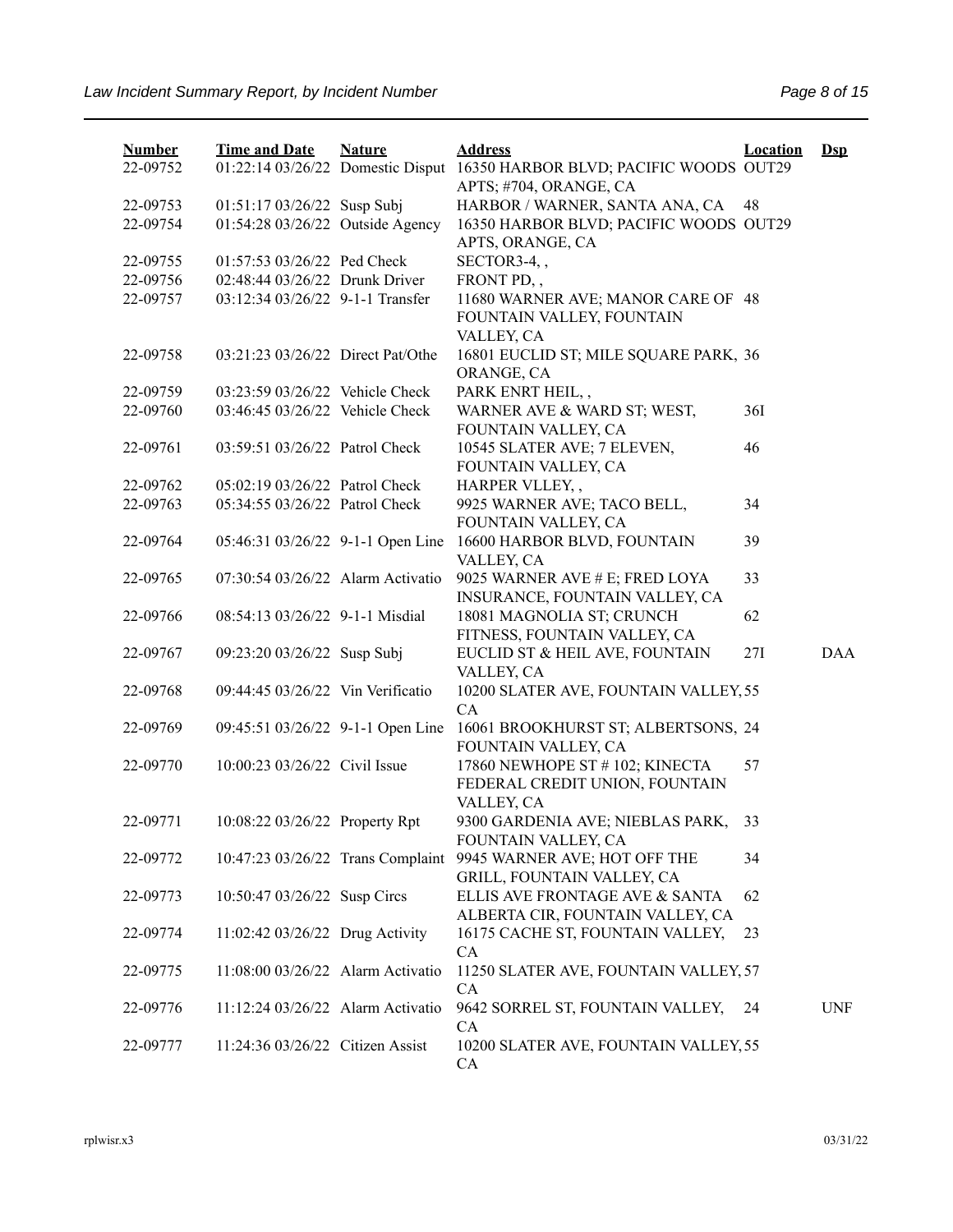| <b>Number</b> | <b>Time and Date</b>              | <b>Nature</b> | <b>Address</b>                                                                  | <b>Location</b> | $\mathbf{Dsp}$ |
|---------------|-----------------------------------|---------------|---------------------------------------------------------------------------------|-----------------|----------------|
| 22-09752      | 01:22:14 03/26/22 Domestic Disput |               | 16350 HARBOR BLVD; PACIFIC WOODS OUT29<br>APTS; #704, ORANGE, CA                |                 |                |
| 22-09753      | 01:51:17 03/26/22 Susp Subj       |               | HARBOR / WARNER, SANTA ANA, CA                                                  | 48              |                |
| 22-09754      | 01:54:28 03/26/22 Outside Agency  |               | 16350 HARBOR BLVD; PACIFIC WOODS OUT29<br>APTS, ORANGE, CA                      |                 |                |
| 22-09755      | 01:57:53 03/26/22 Ped Check       |               | SECTOR3-4,,                                                                     |                 |                |
| 22-09756      | 02:48:44 03/26/22 Drunk Driver    |               | FRONT PD,,                                                                      |                 |                |
| 22-09757      | 03:12:34 03/26/22 9-1-1 Transfer  |               | 11680 WARNER AVE; MANOR CARE OF 48<br>FOUNTAIN VALLEY, FOUNTAIN<br>VALLEY, CA   |                 |                |
| 22-09758      | 03:21:23 03/26/22 Direct Pat/Othe |               | 16801 EUCLID ST; MILE SQUARE PARK, 36<br>ORANGE, CA                             |                 |                |
| 22-09759      | 03:23:59 03/26/22 Vehicle Check   |               | PARK ENRT HEIL,,                                                                |                 |                |
| 22-09760      | 03:46:45 03/26/22 Vehicle Check   |               | WARNER AVE & WARD ST; WEST,<br>FOUNTAIN VALLEY, CA                              | 36I             |                |
| 22-09761      | 03:59:51 03/26/22 Patrol Check    |               | 10545 SLATER AVE; 7 ELEVEN,<br>FOUNTAIN VALLEY, CA                              | 46              |                |
| 22-09762      | 05:02:19 03/26/22 Patrol Check    |               | HARPER VLLEY,,                                                                  |                 |                |
| 22-09763      | 05:34:55 03/26/22 Patrol Check    |               | 9925 WARNER AVE; TACO BELL,<br>FOUNTAIN VALLEY, CA                              | 34              |                |
| 22-09764      | 05:46:31 03/26/22 9-1-1 Open Line |               | 16600 HARBOR BLVD, FOUNTAIN<br>VALLEY, CA                                       | 39              |                |
| 22-09765      | 07:30:54 03/26/22 Alarm Activatio |               | 9025 WARNER AVE # E; FRED LOYA<br>INSURANCE, FOUNTAIN VALLEY, CA                | 33              |                |
| 22-09766      | 08:54:13 03/26/22 9-1-1 Misdial   |               | 18081 MAGNOLIA ST; CRUNCH<br>FITNESS, FOUNTAIN VALLEY, CA                       | 62              |                |
| 22-09767      | 09:23:20 03/26/22 Susp Subj       |               | EUCLID ST & HEIL AVE, FOUNTAIN<br>VALLEY, CA                                    | 27I             | <b>DAA</b>     |
| 22-09768      | 09:44:45 03/26/22 Vin Verificatio |               | 10200 SLATER AVE, FOUNTAIN VALLEY, 55<br>CA                                     |                 |                |
| 22-09769      | 09:45:51 03/26/22 9-1-1 Open Line |               | 16061 BROOKHURST ST; ALBERTSONS, 24<br>FOUNTAIN VALLEY, CA                      |                 |                |
| 22-09770      | 10:00:23 03/26/22 Civil Issue     |               | 17860 NEWHOPE ST # 102; KINECTA<br>FEDERAL CREDIT UNION, FOUNTAIN<br>VALLEY, CA | 57              |                |
| 22-09771      | 10:08:22 03/26/22 Property Rpt    |               | 9300 GARDENIA AVE; NIEBLAS PARK,<br>FOUNTAIN VALLEY, CA                         | 33              |                |
| 22-09772      | 10:47:23 03/26/22 Trans Complaint |               | 9945 WARNER AVE; HOT OFF THE<br>GRILL, FOUNTAIN VALLEY, CA                      | 34              |                |
| 22-09773      | 10:50:47 03/26/22 Susp Circs      |               | ELLIS AVE FRONTAGE AVE & SANTA<br>ALBERTA CIR, FOUNTAIN VALLEY, CA              | 62              |                |
| 22-09774      | 11:02:42 03/26/22 Drug Activity   |               | 16175 CACHE ST, FOUNTAIN VALLEY,<br><b>CA</b>                                   | 23              |                |
| 22-09775      | 11:08:00 03/26/22 Alarm Activatio |               | 11250 SLATER AVE, FOUNTAIN VALLEY, 57<br>CA                                     |                 |                |
| 22-09776      | 11:12:24 03/26/22 Alarm Activatio |               | 9642 SORREL ST, FOUNTAIN VALLEY,<br>CA                                          | 24              | <b>UNF</b>     |
| 22-09777      | 11:24:36 03/26/22 Citizen Assist  |               | 10200 SLATER AVE, FOUNTAIN VALLEY, 55<br>CA                                     |                 |                |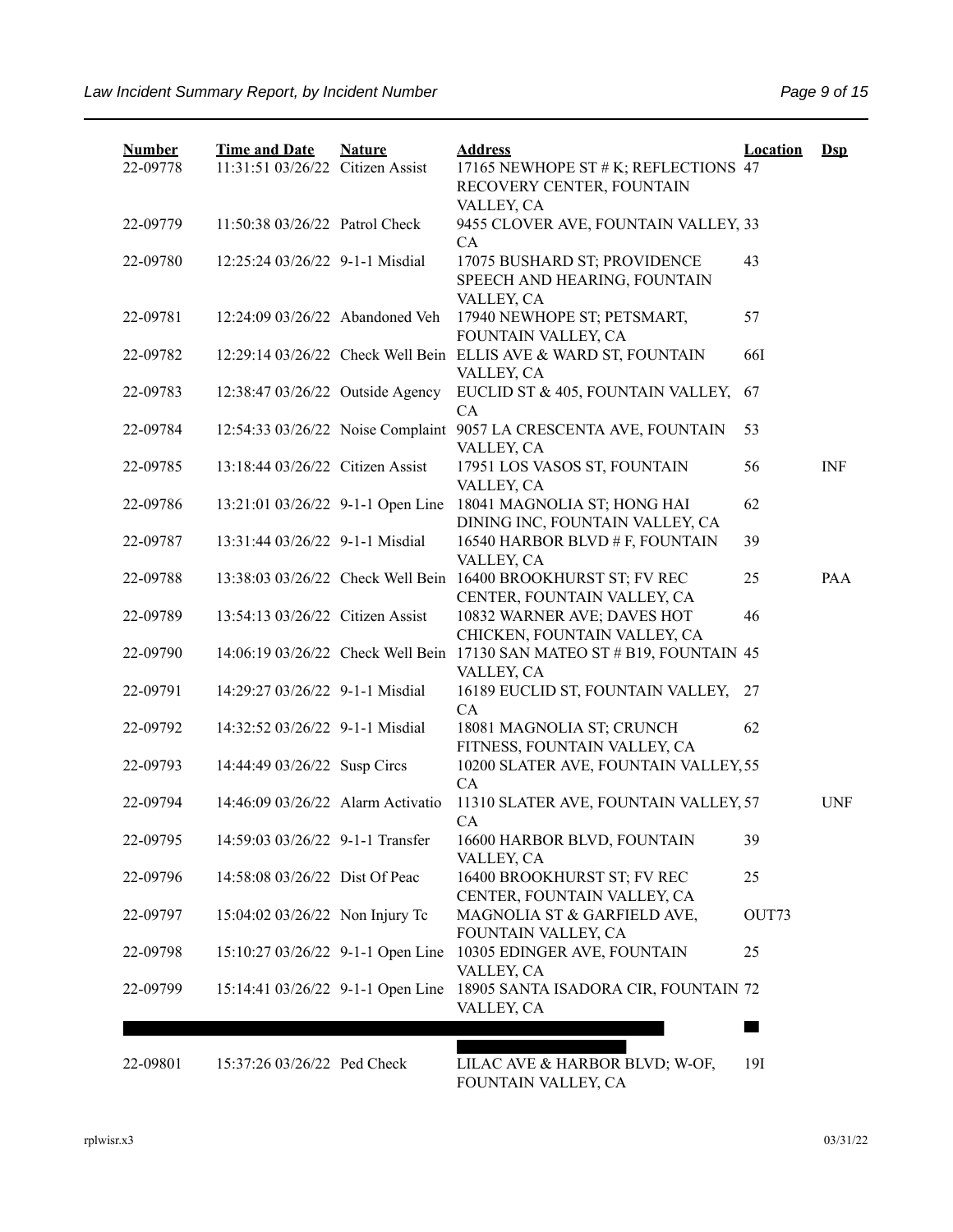| <b>Number</b> | <b>Time and Date</b>              | <b>Nature</b> | <b>Address</b>                                                     | <b>Location</b> | $\mathbf{Dsp}$ |
|---------------|-----------------------------------|---------------|--------------------------------------------------------------------|-----------------|----------------|
| 22-09778      | 11:31:51 03/26/22 Citizen Assist  |               | 17165 NEWHOPE ST # K; REFLECTIONS 47<br>RECOVERY CENTER, FOUNTAIN  |                 |                |
|               |                                   |               | VALLEY, CA                                                         |                 |                |
| 22-09779      | 11:50:38 03/26/22 Patrol Check    |               | 9455 CLOVER AVE, FOUNTAIN VALLEY, 33                               |                 |                |
|               |                                   |               | CA                                                                 |                 |                |
| 22-09780      | 12:25:24 03/26/22 9-1-1 Misdial   |               | 17075 BUSHARD ST; PROVIDENCE<br>SPEECH AND HEARING, FOUNTAIN       | 43              |                |
|               |                                   |               | VALLEY, CA                                                         |                 |                |
| 22-09781      | 12:24:09 03/26/22 Abandoned Veh   |               | 17940 NEWHOPE ST; PETSMART,                                        | 57              |                |
|               |                                   |               | FOUNTAIN VALLEY, CA                                                |                 |                |
| 22-09782      |                                   |               | 12:29:14 03/26/22 Check Well Bein ELLIS AVE & WARD ST, FOUNTAIN    | <b>66I</b>      |                |
|               |                                   |               | VALLEY, CA                                                         |                 |                |
| 22-09783      | 12:38:47 03/26/22 Outside Agency  |               | EUCLID ST & 405, FOUNTAIN VALLEY,<br>CA                            | 67              |                |
| 22-09784      | 12:54:33 03/26/22 Noise Complaint |               | 9057 LA CRESCENTA AVE, FOUNTAIN                                    | 53              |                |
|               |                                   |               | VALLEY, CA                                                         |                 |                |
| 22-09785      | 13:18:44 03/26/22 Citizen Assist  |               | 17951 LOS VASOS ST, FOUNTAIN                                       | 56              | <b>INF</b>     |
|               |                                   |               | VALLEY, CA                                                         |                 |                |
| 22-09786      | 13:21:01 03/26/22 9-1-1 Open Line |               | 18041 MAGNOLIA ST; HONG HAI                                        | 62              |                |
| 22-09787      | 13:31:44 03/26/22 9-1-1 Misdial   |               | DINING INC, FOUNTAIN VALLEY, CA<br>16540 HARBOR BLVD # F, FOUNTAIN | 39              |                |
|               |                                   |               | VALLEY, CA                                                         |                 |                |
| 22-09788      | 13:38:03 03/26/22 Check Well Bein |               | 16400 BROOKHURST ST; FV REC                                        | 25              | PAA            |
|               |                                   |               | CENTER, FOUNTAIN VALLEY, CA                                        |                 |                |
| 22-09789      | 13:54:13 03/26/22 Citizen Assist  |               | 10832 WARNER AVE; DAVES HOT                                        | 46              |                |
|               |                                   |               | CHICKEN, FOUNTAIN VALLEY, CA                                       |                 |                |
| 22-09790      | 14:06:19 03/26/22 Check Well Bein |               | 17130 SAN MATEO ST # B19, FOUNTAIN 45<br>VALLEY, CA                |                 |                |
| 22-09791      | 14:29:27 03/26/22 9-1-1 Misdial   |               | 16189 EUCLID ST, FOUNTAIN VALLEY,                                  | 27              |                |
|               |                                   |               | CA                                                                 |                 |                |
| 22-09792      | 14:32:52 03/26/22 9-1-1 Misdial   |               | 18081 MAGNOLIA ST; CRUNCH                                          | 62              |                |
|               |                                   |               | FITNESS, FOUNTAIN VALLEY, CA                                       |                 |                |
| 22-09793      | 14:44:49 03/26/22 Susp Circs      |               | 10200 SLATER AVE, FOUNTAIN VALLEY, 55                              |                 |                |
| 22-09794      | 14:46:09 03/26/22 Alarm Activatio |               | CA<br>11310 SLATER AVE, FOUNTAIN VALLEY, 57                        |                 | <b>UNF</b>     |
|               |                                   |               | CA                                                                 |                 |                |
| 22-09795      | 14:59:03 03/26/22 9-1-1 Transfer  |               | 16600 HARBOR BLVD, FOUNTAIN                                        | 39              |                |
|               |                                   |               | VALLEY, CA                                                         |                 |                |
| 22-09796      | 14:58:08 03/26/22 Dist Of Peac    |               | 16400 BROOKHURST ST; FV REC                                        | 25              |                |
|               |                                   |               | CENTER, FOUNTAIN VALLEY, CA                                        |                 |                |
| 22-09797      | 15:04:02 03/26/22 Non Injury Tc   |               | MAGNOLIA ST & GARFIELD AVE,<br>FOUNTAIN VALLEY, CA                 | OUT73           |                |
| 22-09798      | 15:10:27 03/26/22 9-1-1 Open Line |               | 10305 EDINGER AVE, FOUNTAIN                                        | 25              |                |
|               |                                   |               | VALLEY, CA                                                         |                 |                |
| 22-09799      | 15:14:41 03/26/22 9-1-1 Open Line |               | 18905 SANTA ISADORA CIR, FOUNTAIN 72                               |                 |                |
|               |                                   |               | VALLEY, CA                                                         |                 |                |
|               |                                   |               |                                                                    |                 |                |
| 22-09801      | 15:37:26 03/26/22 Ped Check       |               | LILAC AVE & HARBOR BLVD; W-OF,                                     | 19I             |                |
|               |                                   |               | $\pi$                                                              |                 |                |

FOUNTAIN VALLEY, CA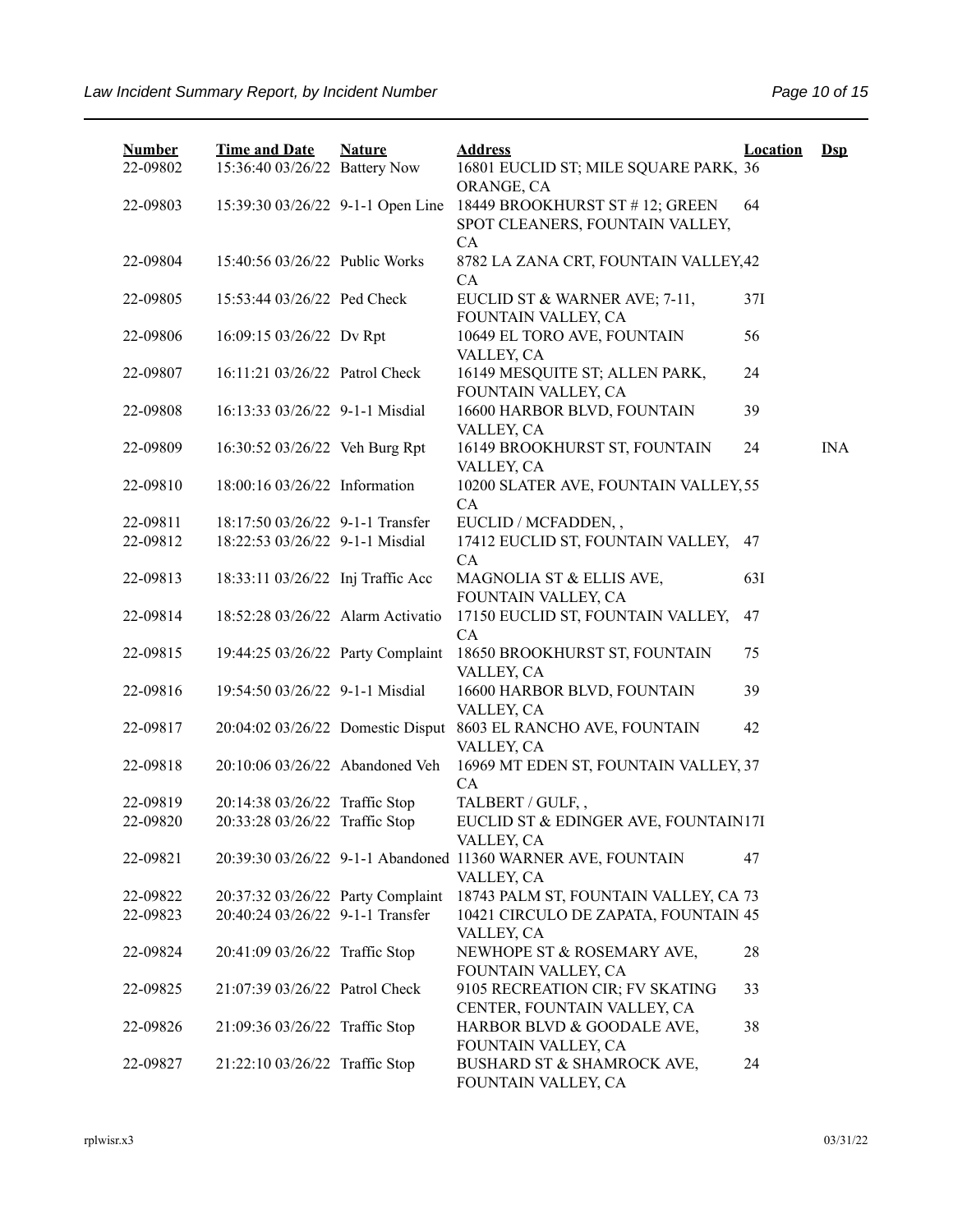| <b>Number</b><br>22-09802 | <b>Time and Date</b><br>15:36:40 03/26/22 Battery Now | <b>Nature</b> | <b>Address</b><br>16801 EUCLID ST; MILE SQUARE PARK, 36                    | <b>Location</b> | $Dsp$      |
|---------------------------|-------------------------------------------------------|---------------|----------------------------------------------------------------------------|-----------------|------------|
| 22-09803                  | 15:39:30 03/26/22 9-1-1 Open Line                     |               | ORANGE, CA<br>18449 BROOKHURST ST #12; GREEN                               | 64              |            |
|                           |                                                       |               | SPOT CLEANERS, FOUNTAIN VALLEY,<br>CA                                      |                 |            |
| 22-09804                  | 15:40:56 03/26/22 Public Works                        |               | 8782 LA ZANA CRT, FOUNTAIN VALLEY, 42<br>CA                                |                 |            |
| 22-09805                  | 15:53:44 03/26/22 Ped Check                           |               | EUCLID ST & WARNER AVE; 7-11,<br>FOUNTAIN VALLEY, CA                       | 37I             |            |
| 22-09806                  | 16:09:15 03/26/22 Dv Rpt                              |               | 10649 EL TORO AVE, FOUNTAIN<br>VALLEY, CA                                  | 56              |            |
| 22-09807                  | 16:11:21 03/26/22 Patrol Check                        |               | 16149 MESQUITE ST; ALLEN PARK,<br>FOUNTAIN VALLEY, CA                      | 24              |            |
| 22-09808                  | 16:13:33 03/26/22 9-1-1 Misdial                       |               | 16600 HARBOR BLVD, FOUNTAIN<br>VALLEY, CA                                  | 39              |            |
| 22-09809                  | 16:30:52 03/26/22 Veh Burg Rpt                        |               | 16149 BROOKHURST ST, FOUNTAIN<br>VALLEY, CA                                | 24              | <b>INA</b> |
| 22-09810                  | 18:00:16 03/26/22 Information                         |               | 10200 SLATER AVE, FOUNTAIN VALLEY, 55<br>CA                                |                 |            |
| 22-09811                  | 18:17:50 03/26/22 9-1-1 Transfer                      |               | EUCLID / MCFADDEN,,                                                        |                 |            |
| 22-09812                  | 18:22:53 03/26/22 9-1-1 Misdial                       |               | 17412 EUCLID ST, FOUNTAIN VALLEY, 47                                       |                 |            |
|                           |                                                       |               | CA                                                                         |                 |            |
| 22-09813                  | 18:33:11 03/26/22 Inj Traffic Acc                     |               | MAGNOLIA ST & ELLIS AVE,<br>FOUNTAIN VALLEY, CA                            | 63I             |            |
| 22-09814                  | 18:52:28 03/26/22 Alarm Activatio                     |               | 17150 EUCLID ST, FOUNTAIN VALLEY,<br>CA                                    | 47              |            |
| 22-09815                  | 19:44:25 03/26/22 Party Complaint                     |               | 18650 BROOKHURST ST, FOUNTAIN<br>VALLEY, CA                                | 75              |            |
| 22-09816                  | 19:54:50 03/26/22 9-1-1 Misdial                       |               | 16600 HARBOR BLVD, FOUNTAIN<br>VALLEY, CA                                  | 39              |            |
| 22-09817                  | 20:04:02 03/26/22 Domestic Disput                     |               | 8603 EL RANCHO AVE, FOUNTAIN<br>VALLEY, CA                                 | 42              |            |
| 22-09818                  | 20:10:06 03/26/22 Abandoned Veh                       |               | 16969 MT EDEN ST, FOUNTAIN VALLEY, 37<br>CA                                |                 |            |
| 22-09819                  | 20:14:38 03/26/22 Traffic Stop                        |               | TALBERT / GULF,,                                                           |                 |            |
| 22-09820                  | 20:33:28 03/26/22 Traffic Stop                        |               | EUCLID ST & EDINGER AVE, FOUNTAIN17I<br>VALLEY, CA                         |                 |            |
| 22-09821                  |                                                       |               | 20:39:30 03/26/22 9-1-1 Abandoned 11360 WARNER AVE, FOUNTAIN<br>VALLEY, CA | 47              |            |
| 22-09822                  | 20:37:32 03/26/22 Party Complaint                     |               | 18743 PALM ST, FOUNTAIN VALLEY, CA 73                                      |                 |            |
| 22-09823                  | 20:40:24 03/26/22 9-1-1 Transfer                      |               | 10421 CIRCULO DE ZAPATA, FOUNTAIN 45<br>VALLEY, CA                         |                 |            |
| 22-09824                  | 20:41:09 03/26/22 Traffic Stop                        |               | NEWHOPE ST & ROSEMARY AVE,<br>FOUNTAIN VALLEY, CA                          | 28              |            |
| 22-09825                  | 21:07:39 03/26/22 Patrol Check                        |               | 9105 RECREATION CIR; FV SKATING<br>CENTER, FOUNTAIN VALLEY, CA             | 33              |            |
| 22-09826                  | 21:09:36 03/26/22 Traffic Stop                        |               | HARBOR BLVD & GOODALE AVE,<br>FOUNTAIN VALLEY, CA                          | 38              |            |
| 22-09827                  | 21:22:10 03/26/22 Traffic Stop                        |               | BUSHARD ST & SHAMROCK AVE,<br>FOUNTAIN VALLEY, CA                          | 24              |            |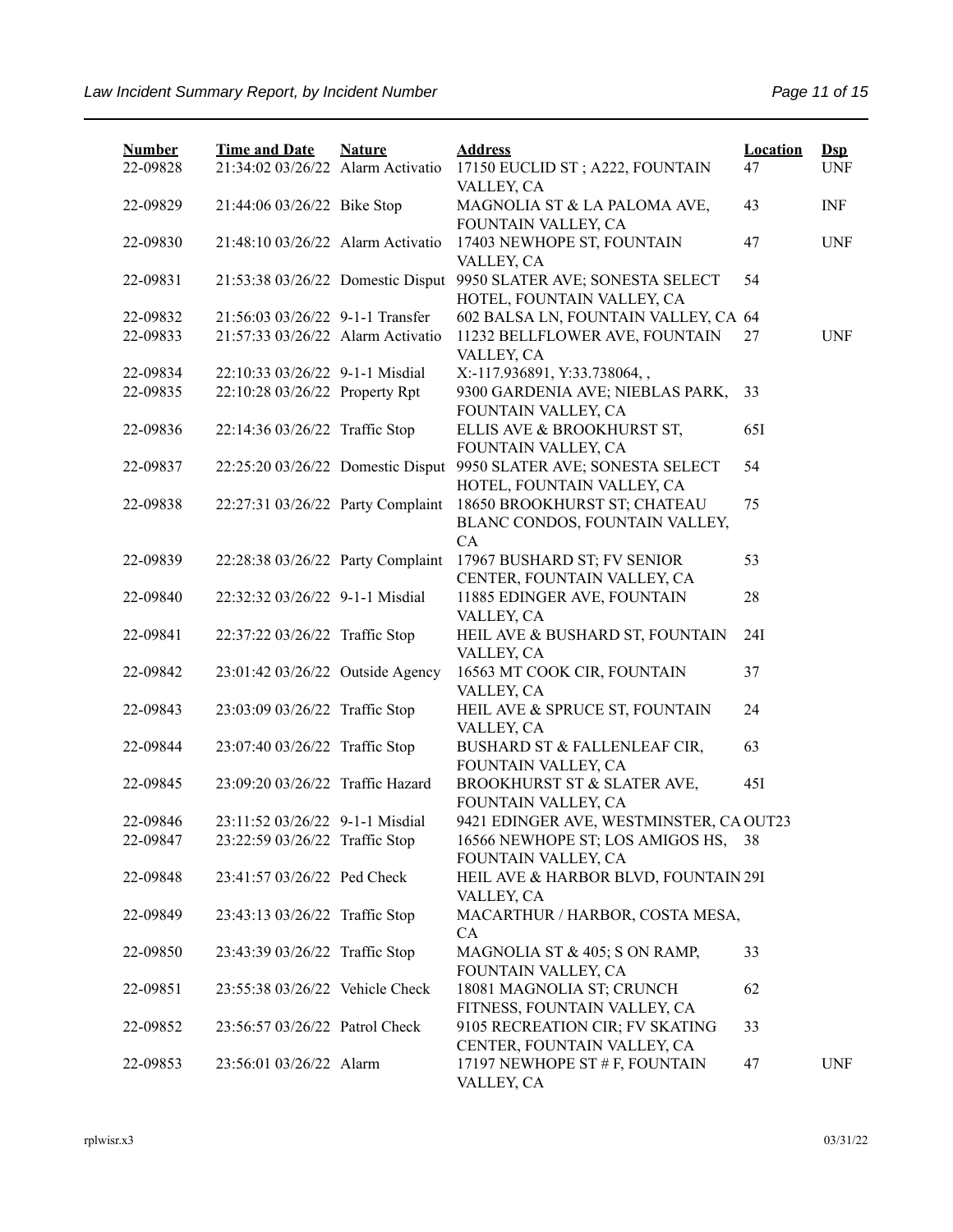| <b>Number</b> | <b>Time and Date</b>              | <b>Nature</b> | <b>Address</b>                                                       | <b>Location</b> | $\mathbf{Dsp}$ |
|---------------|-----------------------------------|---------------|----------------------------------------------------------------------|-----------------|----------------|
| 22-09828      | 21:34:02 03/26/22 Alarm Activatio |               | 17150 EUCLID ST; A222, FOUNTAIN<br>VALLEY, CA                        | 47              | <b>UNF</b>     |
| 22-09829      | 21:44:06 03/26/22 Bike Stop       |               | MAGNOLIA ST & LA PALOMA AVE,<br>FOUNTAIN VALLEY, CA                  | 43              | INF            |
| 22-09830      | 21:48:10 03/26/22 Alarm Activatio |               | 17403 NEWHOPE ST, FOUNTAIN<br>VALLEY, CA                             | 47              | <b>UNF</b>     |
| 22-09831      | 21:53:38 03/26/22 Domestic Disput |               | 9950 SLATER AVE; SONESTA SELECT<br>HOTEL, FOUNTAIN VALLEY, CA        | 54              |                |
| 22-09832      | 21:56:03 03/26/22 9-1-1 Transfer  |               | 602 BALSA LN, FOUNTAIN VALLEY, CA 64                                 |                 |                |
| 22-09833      | 21:57:33 03/26/22 Alarm Activatio |               | 11232 BELLFLOWER AVE, FOUNTAIN<br>VALLEY, CA                         | 27              | <b>UNF</b>     |
| 22-09834      | 22:10:33 03/26/22 9-1-1 Misdial   |               | X:-117.936891, Y:33.738064,,                                         |                 |                |
| 22-09835      | 22:10:28 03/26/22 Property Rpt    |               | 9300 GARDENIA AVE; NIEBLAS PARK,<br>FOUNTAIN VALLEY, CA              | 33              |                |
| 22-09836      | 22:14:36 03/26/22 Traffic Stop    |               | ELLIS AVE & BROOKHURST ST,<br>FOUNTAIN VALLEY, CA                    | 65I             |                |
| 22-09837      | 22:25:20 03/26/22 Domestic Disput |               | 9950 SLATER AVE; SONESTA SELECT<br>HOTEL, FOUNTAIN VALLEY, CA        | 54              |                |
| 22-09838      | 22:27:31 03/26/22 Party Complaint |               | 18650 BROOKHURST ST; CHATEAU<br>BLANC CONDOS, FOUNTAIN VALLEY,<br>CA | 75              |                |
| 22-09839      | 22:28:38 03/26/22 Party Complaint |               | 17967 BUSHARD ST; FV SENIOR                                          | 53              |                |
| 22-09840      | 22:32:32 03/26/22 9-1-1 Misdial   |               | CENTER, FOUNTAIN VALLEY, CA<br>11885 EDINGER AVE, FOUNTAIN           | 28              |                |
| 22-09841      | 22:37:22 03/26/22 Traffic Stop    |               | VALLEY, CA<br>HEIL AVE & BUSHARD ST, FOUNTAIN                        | 24I             |                |
| 22-09842      | 23:01:42 03/26/22 Outside Agency  |               | VALLEY, CA<br>16563 MT COOK CIR, FOUNTAIN<br>VALLEY, CA              | 37              |                |
| 22-09843      | 23:03:09 03/26/22 Traffic Stop    |               | HEIL AVE & SPRUCE ST, FOUNTAIN<br>VALLEY, CA                         | 24              |                |
| 22-09844      | 23:07:40 03/26/22 Traffic Stop    |               | BUSHARD ST & FALLENLEAF CIR,<br>FOUNTAIN VALLEY, CA                  | 63              |                |
| 22-09845      | 23:09:20 03/26/22 Traffic Hazard  |               | BROOKHURST ST & SLATER AVE,<br>FOUNTAIN VALLEY, CA                   | 45I             |                |
| 22-09846      | 23:11:52 03/26/22 9-1-1 Misdial   |               | 9421 EDINGER AVE, WESTMINSTER, CA OUT23                              |                 |                |
| 22-09847      | 23:22:59 03/26/22 Traffic Stop    |               | 16566 NEWHOPE ST; LOS AMIGOS HS,<br>FOUNTAIN VALLEY, CA              | 38              |                |
| 22-09848      | 23:41:57 03/26/22 Ped Check       |               | HEIL AVE & HARBOR BLVD, FOUNTAIN 29I<br>VALLEY, CA                   |                 |                |
| 22-09849      | 23:43:13 03/26/22 Traffic Stop    |               | MACARTHUR / HARBOR, COSTA MESA,<br>CA                                |                 |                |
| 22-09850      | 23:43:39 03/26/22 Traffic Stop    |               | MAGNOLIA ST & 405; S ON RAMP,<br>FOUNTAIN VALLEY, CA                 | 33              |                |
| 22-09851      | 23:55:38 03/26/22 Vehicle Check   |               | 18081 MAGNOLIA ST; CRUNCH<br>FITNESS, FOUNTAIN VALLEY, CA            | 62              |                |
| 22-09852      | 23:56:57 03/26/22 Patrol Check    |               | 9105 RECREATION CIR; FV SKATING<br>CENTER, FOUNTAIN VALLEY, CA       | 33              |                |
| 22-09853      | 23:56:01 03/26/22 Alarm           |               | 17197 NEWHOPE ST # F, FOUNTAIN<br>VALLEY, CA                         | 47              | <b>UNF</b>     |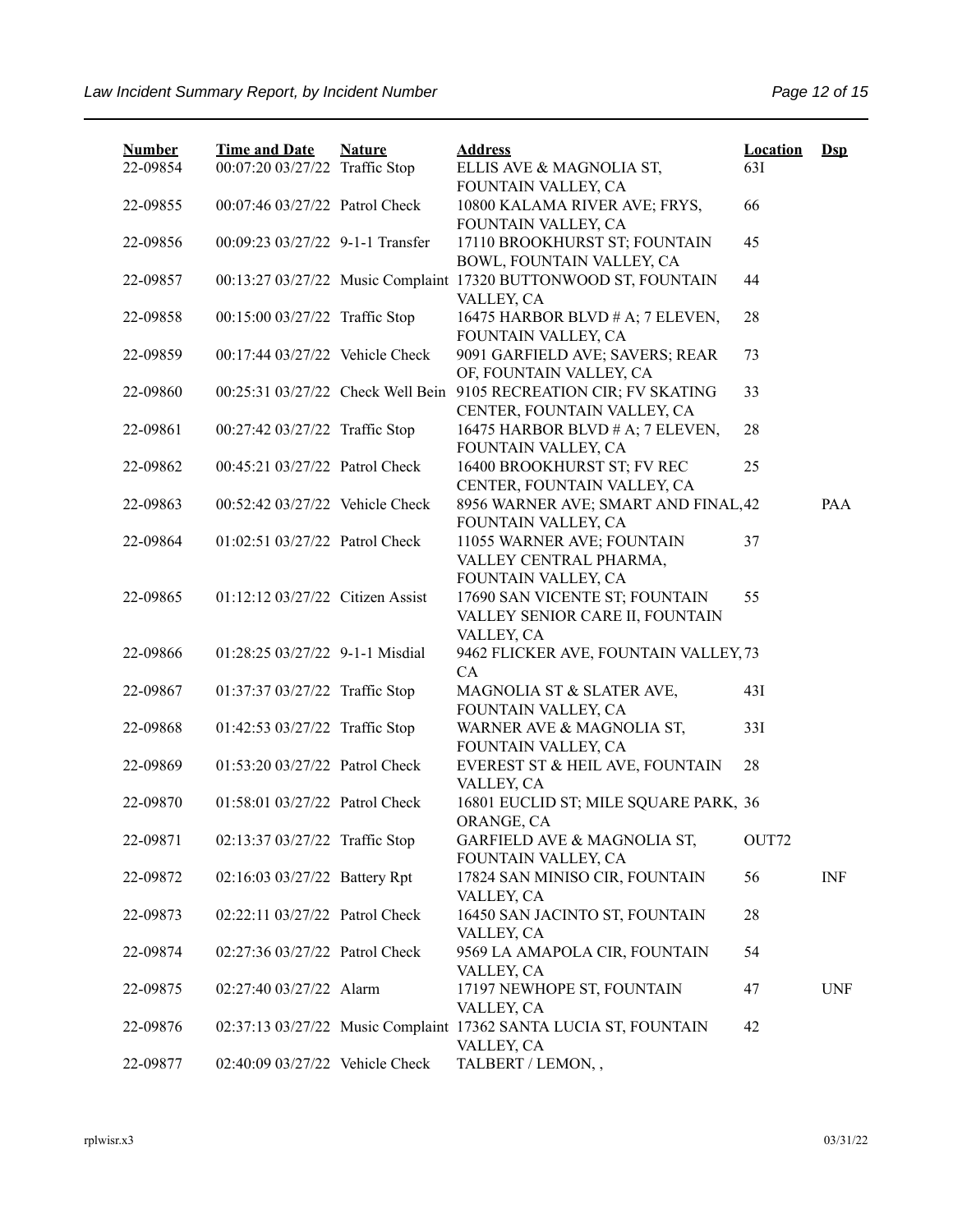| <b>Number</b><br>22-09854 | <b>Time and Date</b><br>00:07:20 03/27/22 Traffic Stop | <b>Nature</b> | <b>Address</b><br>ELLIS AVE & MAGNOLIA ST,                                               | <b>Location</b><br>63I | $Ds$       |
|---------------------------|--------------------------------------------------------|---------------|------------------------------------------------------------------------------------------|------------------------|------------|
| 22-09855                  | 00:07:46 03/27/22 Patrol Check                         |               | FOUNTAIN VALLEY, CA<br>10800 KALAMA RIVER AVE; FRYS,                                     | 66                     |            |
|                           |                                                        |               | FOUNTAIN VALLEY, CA                                                                      |                        |            |
| 22-09856                  | 00:09:23 03/27/22 9-1-1 Transfer                       |               | 17110 BROOKHURST ST; FOUNTAIN<br>BOWL, FOUNTAIN VALLEY, CA                               | 45                     |            |
| 22-09857                  |                                                        |               | 00:13:27 03/27/22 Music Complaint 17320 BUTTONWOOD ST, FOUNTAIN<br>VALLEY, CA            | 44                     |            |
| 22-09858                  | 00:15:00 03/27/22 Traffic Stop                         |               | 16475 HARBOR BLVD # A; 7 ELEVEN,<br>FOUNTAIN VALLEY, CA                                  | 28                     |            |
| 22-09859                  | 00:17:44 03/27/22 Vehicle Check                        |               | 9091 GARFIELD AVE; SAVERS; REAR<br>OF, FOUNTAIN VALLEY, CA                               | 73                     |            |
| 22-09860                  | 00:25:31 03/27/22 Check Well Bein                      |               | 9105 RECREATION CIR; FV SKATING<br>CENTER, FOUNTAIN VALLEY, CA                           | 33                     |            |
| 22-09861                  | 00:27:42 03/27/22 Traffic Stop                         |               | 16475 HARBOR BLVD # A; 7 ELEVEN,<br>FOUNTAIN VALLEY, CA                                  | 28                     |            |
| 22-09862                  | 00:45:21 03/27/22 Patrol Check                         |               | 16400 BROOKHURST ST; FV REC<br>CENTER, FOUNTAIN VALLEY, CA                               | 25                     |            |
| 22-09863                  | 00:52:42 03/27/22 Vehicle Check                        |               | 8956 WARNER AVE; SMART AND FINAL, 42<br>FOUNTAIN VALLEY, CA                              |                        | PAA        |
| 22-09864                  | 01:02:51 03/27/22 Patrol Check                         |               | 11055 WARNER AVE; FOUNTAIN<br>VALLEY CENTRAL PHARMA,                                     | 37                     |            |
| 22-09865                  | 01:12:12 03/27/22 Citizen Assist                       |               | FOUNTAIN VALLEY, CA<br>17690 SAN VICENTE ST; FOUNTAIN<br>VALLEY SENIOR CARE II, FOUNTAIN | 55                     |            |
| 22-09866                  | $01:28:25\ 03/27/22\ 9-1-1$ Misdial                    |               | VALLEY, CA<br>9462 FLICKER AVE, FOUNTAIN VALLEY, 73<br><b>CA</b>                         |                        |            |
| 22-09867                  | 01:37:37 03/27/22 Traffic Stop                         |               | MAGNOLIA ST & SLATER AVE,<br>FOUNTAIN VALLEY, CA                                         | 43I                    |            |
| 22-09868                  | 01:42:53 03/27/22 Traffic Stop                         |               | WARNER AVE & MAGNOLIA ST,<br>FOUNTAIN VALLEY, CA                                         | 33I                    |            |
| 22-09869                  | 01:53:20 03/27/22 Patrol Check                         |               | EVEREST ST & HEIL AVE, FOUNTAIN<br>VALLEY, CA                                            | 28                     |            |
| 22-09870                  | 01:58:01 03/27/22 Patrol Check                         |               | 16801 EUCLID ST; MILE SQUARE PARK, 36<br>ORANGE, CA                                      |                        |            |
| 22-09871                  | 02:13:37 03/27/22 Traffic Stop                         |               | GARFIELD AVE & MAGNOLIA ST,<br>FOUNTAIN VALLEY, CA                                       | OUT72                  |            |
| 22-09872                  | 02:16:03 03/27/22 Battery Rpt                          |               | 17824 SAN MINISO CIR, FOUNTAIN<br>VALLEY, CA                                             | 56                     | <b>INF</b> |
| 22-09873                  | 02:22:11 03/27/22 Patrol Check                         |               | 16450 SAN JACINTO ST, FOUNTAIN<br>VALLEY, CA                                             | 28                     |            |
| 22-09874                  | 02:27:36 03/27/22 Patrol Check                         |               | 9569 LA AMAPOLA CIR, FOUNTAIN<br>VALLEY, CA                                              | 54                     |            |
| 22-09875                  | 02:27:40 03/27/22 Alarm                                |               | 17197 NEWHOPE ST, FOUNTAIN<br>VALLEY, CA                                                 | 47                     | <b>UNF</b> |
| 22-09876                  |                                                        |               | 02:37:13 03/27/22 Music Complaint 17362 SANTA LUCIA ST, FOUNTAIN<br>VALLEY, CA           | 42                     |            |
| 22-09877                  | 02:40:09 03/27/22 Vehicle Check                        |               | TALBERT / LEMON,,                                                                        |                        |            |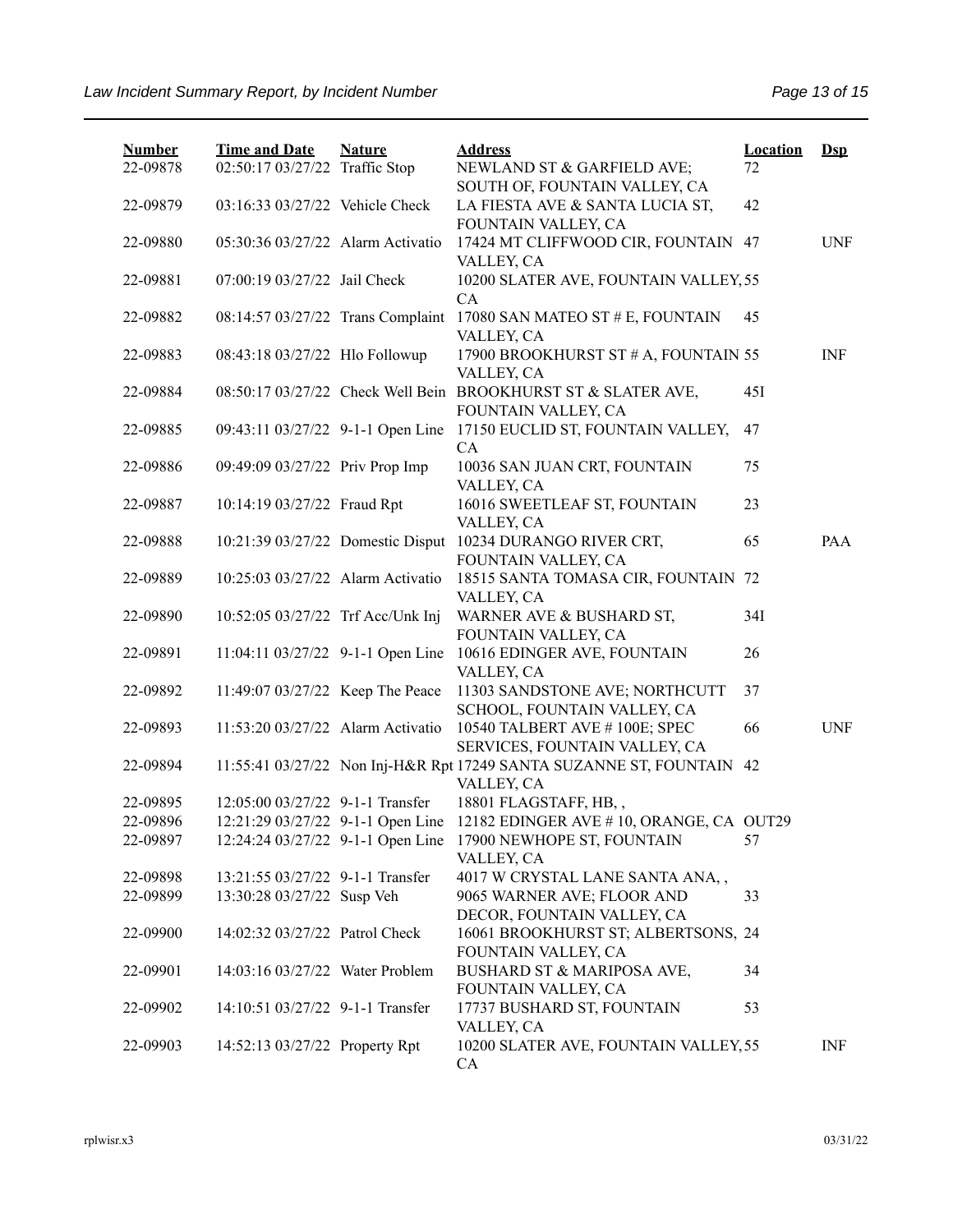| <b>Number</b> | <b>Time and Date</b>              | <b>Nature</b> | <b>Address</b>                                                                       | <b>Location</b> | $Ds$       |
|---------------|-----------------------------------|---------------|--------------------------------------------------------------------------------------|-----------------|------------|
| 22-09878      | 02:50:17 03/27/22 Traffic Stop    |               | NEWLAND ST & GARFIELD AVE;                                                           | 72              |            |
| 22-09879      | 03:16:33 03/27/22 Vehicle Check   |               | SOUTH OF, FOUNTAIN VALLEY, CA<br>LA FIESTA AVE & SANTA LUCIA ST,                     | 42              |            |
|               |                                   |               | FOUNTAIN VALLEY, CA                                                                  |                 |            |
| 22-09880      | 05:30:36 03/27/22 Alarm Activatio |               | 17424 MT CLIFFWOOD CIR, FOUNTAIN 47                                                  |                 | <b>UNF</b> |
|               |                                   |               | VALLEY, CA                                                                           |                 |            |
| 22-09881      | 07:00:19 03/27/22 Jail Check      |               | 10200 SLATER AVE, FOUNTAIN VALLEY, 55                                                |                 |            |
|               |                                   |               | CA                                                                                   |                 |            |
| 22-09882      | 08:14:57 03/27/22 Trans Complaint |               | 17080 SAN MATEO ST # E, FOUNTAIN                                                     | 45              |            |
|               |                                   |               | VALLEY, CA                                                                           |                 |            |
| 22-09883      | 08:43:18 03/27/22 Hlo Followup    |               | 17900 BROOKHURST ST # A, FOUNTAIN 55                                                 |                 | <b>INF</b> |
|               |                                   |               | VALLEY, CA                                                                           |                 |            |
| 22-09884      |                                   |               | 08:50:17 03/27/22 Check Well Bein BROOKHURST ST & SLATER AVE,<br>FOUNTAIN VALLEY, CA | 45I             |            |
| 22-09885      | 09:43:11 03/27/22 9-1-1 Open Line |               | 17150 EUCLID ST, FOUNTAIN VALLEY,                                                    | 47              |            |
|               |                                   |               | CA                                                                                   |                 |            |
| 22-09886      | 09:49:09 03/27/22 Priv Prop Imp   |               | 10036 SAN JUAN CRT, FOUNTAIN                                                         | 75              |            |
|               |                                   |               | VALLEY, CA                                                                           |                 |            |
| 22-09887      | 10:14:19 03/27/22 Fraud Rpt       |               | 16016 SWEETLEAF ST, FOUNTAIN                                                         | 23              |            |
|               |                                   |               | VALLEY, CA                                                                           |                 |            |
| 22-09888      | 10:21:39 03/27/22 Domestic Disput |               | 10234 DURANGO RIVER CRT,                                                             | 65              | PAA        |
|               |                                   |               | FOUNTAIN VALLEY, CA                                                                  |                 |            |
| 22-09889      | 10:25:03 03/27/22 Alarm Activatio |               | 18515 SANTA TOMASA CIR, FOUNTAIN 72                                                  |                 |            |
| 22-09890      | 10:52:05 03/27/22 Trf Acc/Unk Inj |               | VALLEY, CA<br>WARNER AVE & BUSHARD ST,                                               | 34I             |            |
|               |                                   |               | FOUNTAIN VALLEY, CA                                                                  |                 |            |
| 22-09891      | 11:04:11 03/27/22 9-1-1 Open Line |               | 10616 EDINGER AVE, FOUNTAIN                                                          | 26              |            |
|               |                                   |               | VALLEY, CA                                                                           |                 |            |
| 22-09892      | 11:49:07 03/27/22 Keep The Peace  |               | 11303 SANDSTONE AVE; NORTHCUTT                                                       | 37              |            |
|               |                                   |               | SCHOOL, FOUNTAIN VALLEY, CA                                                          |                 |            |
| 22-09893      | 11:53:20 03/27/22 Alarm Activatio |               | 10540 TALBERT AVE #100E; SPEC                                                        | 66              | <b>UNF</b> |
|               |                                   |               | SERVICES, FOUNTAIN VALLEY, CA                                                        |                 |            |
| 22-09894      |                                   |               | 11:55:41 03/27/22 Non Inj-H&R Rpt 17249 SANTA SUZANNE ST, FOUNTAIN                   | 42              |            |
| 22-09895      | 12:05:00 03/27/22 9-1-1 Transfer  |               | VALLEY, CA<br>18801 FLAGSTAFF, HB,,                                                  |                 |            |
| 22-09896      | 12:21:29 03/27/22 9-1-1 Open Line |               | 12182 EDINGER AVE #10, ORANGE, CA OUT29                                              |                 |            |
| 22-09897      | 12:24:24 03/27/22 9-1-1 Open Line |               | 17900 NEWHOPE ST, FOUNTAIN                                                           | 57              |            |
|               |                                   |               | VALLEY, CA                                                                           |                 |            |
| 22-09898      | 13:21:55 03/27/22 9-1-1 Transfer  |               | 4017 W CRYSTAL LANE SANTA ANA,,                                                      |                 |            |
| 22-09899      | 13:30:28 03/27/22 Susp Veh        |               | 9065 WARNER AVE; FLOOR AND                                                           | 33              |            |
|               |                                   |               | DECOR, FOUNTAIN VALLEY, CA                                                           |                 |            |
| 22-09900      | 14:02:32 03/27/22 Patrol Check    |               | 16061 BROOKHURST ST; ALBERTSONS, 24                                                  |                 |            |
|               |                                   |               | FOUNTAIN VALLEY, CA                                                                  |                 |            |
| 22-09901      | 14:03:16 03/27/22 Water Problem   |               | BUSHARD ST & MARIPOSA AVE,                                                           | 34              |            |
| 22-09902      | 14:10:51 03/27/22 9-1-1 Transfer  |               | FOUNTAIN VALLEY, CA<br>17737 BUSHARD ST, FOUNTAIN                                    | 53              |            |
|               |                                   |               | VALLEY, CA                                                                           |                 |            |
| 22-09903      | 14:52:13 03/27/22 Property Rpt    |               | 10200 SLATER AVE, FOUNTAIN VALLEY, 55                                                |                 | INF        |
|               |                                   |               | CA                                                                                   |                 |            |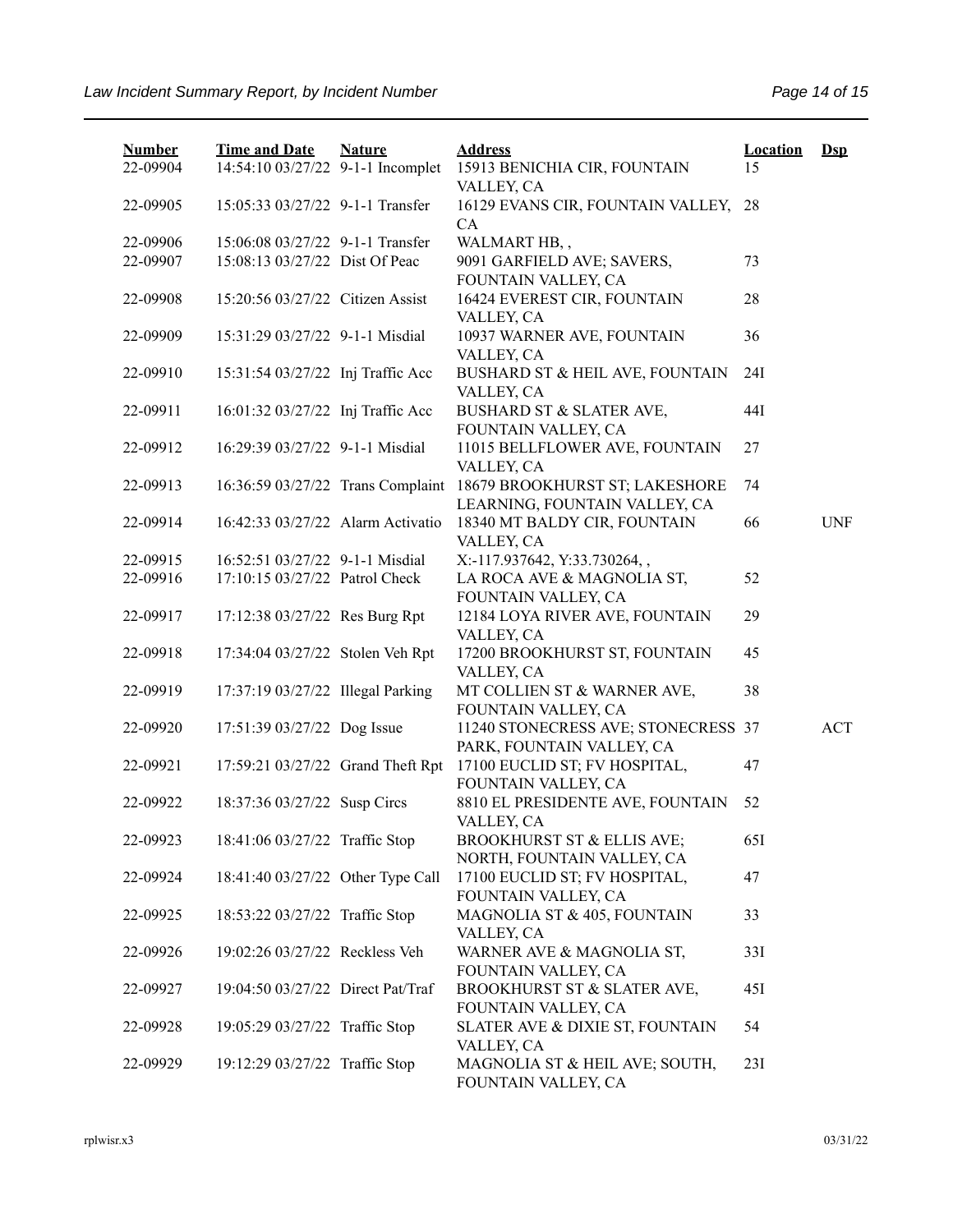| <b>Number</b><br>22-09904 | <b>Time and Date</b><br>14:54:10 03/27/22 9-1-1 Incomplet | <b>Nature</b> | <b>Address</b><br>15913 BENICHIA CIR, FOUNTAIN                   | <b>Location</b><br>15 | $\mathbf{Dsp}$ |
|---------------------------|-----------------------------------------------------------|---------------|------------------------------------------------------------------|-----------------------|----------------|
|                           |                                                           |               | VALLEY, CA                                                       |                       |                |
| 22-09905                  | 15:05:33 03/27/22 9-1-1 Transfer                          |               | 16129 EVANS CIR, FOUNTAIN VALLEY,<br>CA                          | 28                    |                |
| 22-09906                  | 15:06:08 03/27/22 9-1-1 Transfer                          |               | WALMART HB,,                                                     |                       |                |
| 22-09907                  | 15:08:13 03/27/22 Dist Of Peac                            |               | 9091 GARFIELD AVE; SAVERS,<br>FOUNTAIN VALLEY, CA                | 73                    |                |
| 22-09908                  | 15:20:56 03/27/22 Citizen Assist                          |               | 16424 EVEREST CIR, FOUNTAIN<br>VALLEY, CA                        | 28                    |                |
| 22-09909                  | 15:31:29 03/27/22 9-1-1 Misdial                           |               | 10937 WARNER AVE, FOUNTAIN<br>VALLEY, CA                         | 36                    |                |
| 22-09910                  | 15:31:54 03/27/22 Inj Traffic Acc                         |               | BUSHARD ST & HEIL AVE, FOUNTAIN<br>VALLEY, CA                    | 24I                   |                |
| 22-09911                  | 16:01:32 03/27/22 Inj Traffic Acc                         |               | BUSHARD ST & SLATER AVE,<br>FOUNTAIN VALLEY, CA                  | 44I                   |                |
| 22-09912                  | 16:29:39 03/27/22 9-1-1 Misdial                           |               | 11015 BELLFLOWER AVE, FOUNTAIN<br>VALLEY, CA                     | 27                    |                |
| 22-09913                  | 16:36:59 03/27/22 Trans Complaint                         |               | 18679 BROOKHURST ST; LAKESHORE<br>LEARNING, FOUNTAIN VALLEY, CA  | 74                    |                |
| 22-09914                  | 16:42:33 03/27/22 Alarm Activatio                         |               | 18340 MT BALDY CIR, FOUNTAIN<br>VALLEY, CA                       | 66                    | <b>UNF</b>     |
| 22-09915                  | 16:52:51 03/27/22 9-1-1 Misdial                           |               | X:-117.937642, Y:33.730264,,                                     |                       |                |
| 22-09916                  | 17:10:15 03/27/22 Patrol Check                            |               | LA ROCA AVE & MAGNOLIA ST,<br>FOUNTAIN VALLEY, CA                | 52                    |                |
| 22-09917                  | 17:12:38 03/27/22 Res Burg Rpt                            |               | 12184 LOYA RIVER AVE, FOUNTAIN<br>VALLEY, CA                     | 29                    |                |
| 22-09918                  | 17:34:04 03/27/22 Stolen Veh Rpt                          |               | 17200 BROOKHURST ST, FOUNTAIN<br>VALLEY, CA                      | 45                    |                |
| 22-09919                  | 17:37:19 03/27/22 Illegal Parking                         |               | MT COLLIEN ST & WARNER AVE,<br>FOUNTAIN VALLEY, CA               | 38                    |                |
| 22-09920                  | 17:51:39 03/27/22 Dog Issue                               |               | 11240 STONECRESS AVE; STONECRESS 37<br>PARK, FOUNTAIN VALLEY, CA |                       | <b>ACT</b>     |
| 22-09921                  | 17:59:21 03/27/22 Grand Theft Rpt                         |               | 17100 EUCLID ST; FV HOSPITAL,<br>FOUNTAIN VALLEY, CA             | 47                    |                |
| 22-09922                  | 18:37:36 03/27/22 Susp Circs                              |               | 8810 EL PRESIDENTE AVE, FOUNTAIN<br>VALLEY, CA                   | 52                    |                |
| 22-09923                  | 18:41:06 03/27/22 Traffic Stop                            |               | BROOKHURST ST & ELLIS AVE;<br>NORTH, FOUNTAIN VALLEY, CA         | 65I                   |                |
| 22-09924                  | 18:41:40 03/27/22 Other Type Call                         |               | 17100 EUCLID ST; FV HOSPITAL,<br>FOUNTAIN VALLEY, CA             | 47                    |                |
| 22-09925                  | 18:53:22 03/27/22 Traffic Stop                            |               | MAGNOLIA ST & 405, FOUNTAIN<br>VALLEY, CA                        | 33                    |                |
| 22-09926                  | 19:02:26 03/27/22 Reckless Veh                            |               | WARNER AVE & MAGNOLIA ST,<br>FOUNTAIN VALLEY, CA                 | 33I                   |                |
| 22-09927                  | 19:04:50 03/27/22 Direct Pat/Traf                         |               | BROOKHURST ST & SLATER AVE,<br>FOUNTAIN VALLEY, CA               | 45I                   |                |
| 22-09928                  | 19:05:29 03/27/22 Traffic Stop                            |               | SLATER AVE & DIXIE ST, FOUNTAIN<br>VALLEY, CA                    | 54                    |                |
| 22-09929                  | 19:12:29 03/27/22 Traffic Stop                            |               | MAGNOLIA ST & HEIL AVE; SOUTH,<br>FOUNTAIN VALLEY, CA            | 23I                   |                |